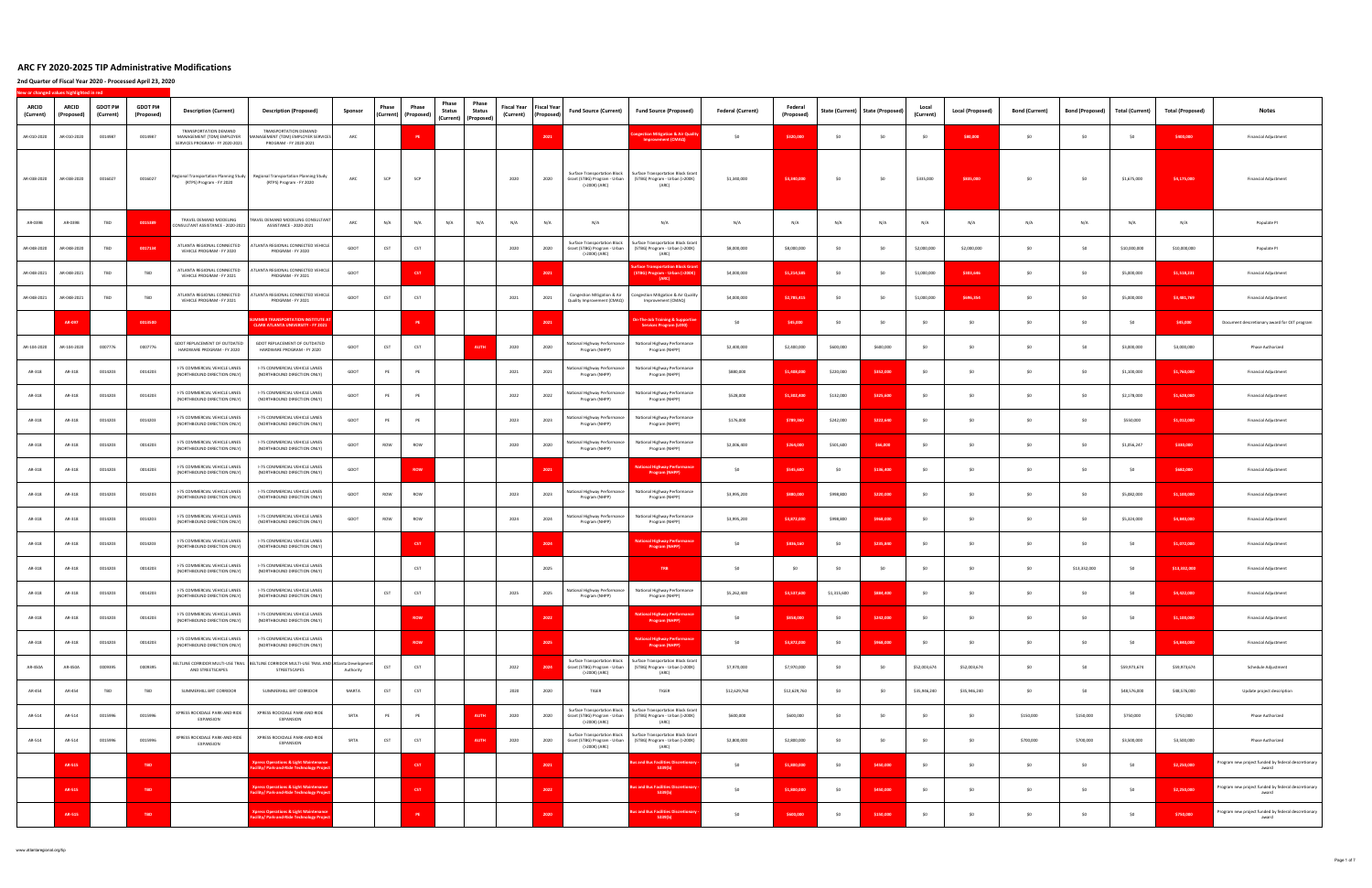| ARCID<br>(Current) | <b>ARCID</b><br>(Proposed) | <b>GDOT PI#</b><br>(Current) | <b>GDOT PI#</b><br>(Proposed) | <b>Description (Current)</b>                                                          | <b>Description (Proposed)</b>                                                                                  | Sponsor   | Phase | Phase<br>(Current) (Proposed) | Phase<br><b>Status</b> | Phase<br><b>Status</b><br>(Current) (Proposed) | <b>Fiscal Year</b><br>(Current) | <b>Fiscal Year</b><br>(Proposed) | <b>Fund Source (Current)</b>                                                         | <b>Fund Source (Proposed)</b>                                                                                     | <b>Federal (Current)</b> | Federal<br>(Proposed) | State (Current) | <b>State (Proposed)</b> | Local<br>(Current) | <b>Local (Proposed)</b> | <b>Bond (Current)</b> | <b>Bond (Proposed)</b> | <b>Total (Current)</b> | <b>Total (Proposed)</b> | <b>Notes</b>                                                 |
|--------------------|----------------------------|------------------------------|-------------------------------|---------------------------------------------------------------------------------------|----------------------------------------------------------------------------------------------------------------|-----------|-------|-------------------------------|------------------------|------------------------------------------------|---------------------------------|----------------------------------|--------------------------------------------------------------------------------------|-------------------------------------------------------------------------------------------------------------------|--------------------------|-----------------------|-----------------|-------------------------|--------------------|-------------------------|-----------------------|------------------------|------------------------|-------------------------|--------------------------------------------------------------|
| AR-010-2020        | AR-010-2020                | 0014987                      | 0014987                       | TRANSPORTATION DEMAND<br>MANAGEMENT (TDM) EMPLOYER<br>SERVICES PROGRAM - FY 2020-2021 | TRANSPORTATION DEMAND<br><b>IANAGEMENT (TDM) EMPLOYER SERVICES</b><br>PROGRAM - FY 2020-2021                   | ARC       |       | PE                            |                        |                                                |                                 | 2021                             |                                                                                      | estion Mitigation & Air Qua<br><b>Improvement (CMAO)</b>                                                          | \$0                      | \$320,000             | \$0             | SO                      | \$O                | \$80,000                | \$0                   | \$0                    | \$O                    | \$400,000               | <b>Financial Adjustment</b>                                  |
| AR-038-2020        | AR-038-2020                | 0016027                      | 0016027                       | Regional Transportation Planning Study<br>(RTPS) Program - FY 2020                    | Regional Transportation Planning Study<br>(RTPS) Program - FY 2020                                             | ARC       | SCP   | SCP                           |                        |                                                | 2020                            | 2020                             | <b>Surface Transportation Block</b><br>Grant (STBG) Program - Urban<br>(>200K) (ARC) | Surface Transportation Block Gran<br>(STBG) Program - Urban (>200K)<br>(ARC)                                      | \$1,340,000              | \$3,340,000           | \$0             | \$0                     | \$335,000          | \$835,000               | \$0                   | \$0                    | \$1,675,000            | \$4,175,000             | <b>Financial Adjustment</b>                                  |
| AR-039B            | AR-039B                    | TBD                          | 0015389                       | TRAVEL DEMAND MODELING<br>CONSULTANT ASSISTANCE - 2020-2021                           | TRAVEL DEMAND MODELING CONSULTANT<br>ASSISTANCE - 2020-2021                                                    | ARC       | N/A   | N/A                           | N/A                    | N/A                                            | N/A                             | N/A                              | N/A                                                                                  | N/A                                                                                                               | N/A                      | N/A                   | N/A             | N/A                     | N/A                | N/A                     | N/A                   | N/A                    | N/A                    | N/A                     | Populate PI                                                  |
| AR-048-2020        | AR-048-2020                | TBD                          | 0017134                       | ATLANTA REGIONAL CONNECTED<br>VEHICLE PROGRAM - FY 2020                               | ATLANTA REGIONAL CONNECTED VEHICLE<br>PROGRAM - FY 2020                                                        | GDOT      | CST   | CST                           |                        |                                                | 2020                            | 2020                             | <b>Surface Transportation Block</b><br>Grant (STBG) Program - Urban<br>(>200K) (ARC) | Surface Transportation Block Gran<br>(STBG) Program - Urban (>200K)<br>(ARC)                                      | \$8,000,000              | \$8,000,000           | \$0             | SO                      | \$2,000,000        | \$2,000,000             | \$0                   | \$0                    | \$10,000,000           | \$10,000,000            | Populate PI                                                  |
| AR-048-2021        | AR-048-2021                | <b>TBD</b>                   | TBD                           | ATLANTA REGIONAL CONNECTED<br>VEHICLE PROGRAM - FY 2021                               | <b>ITLANTA REGIONAL CONNECTED VEHICLE</b><br>PROGRAM - FY 2021                                                 | GDOT      |       | <b>CST</b>                    |                        |                                                |                                 | 2021                             |                                                                                      | ace Transportation Block G<br>STBG) Program - Urban (>200K)<br>(ARC)                                              | \$4,000,000              | \$1,214,585           | \$0             | SO                      | \$1,000,000        | \$303,646               | SO                    | \$0                    | \$5,000,000            | \$1,518,231             | <b>Financial Adjustment</b>                                  |
| AR-048-2021        | AR-048-2021                | TBD                          | TBD                           | ATLANTA REGIONAL CONNECTED<br>VEHICLE PROGRAM - FY 2021                               | ATLANTA REGIONAL CONNECTED VEHICLE<br>PROGRAM - FY 2021                                                        | GDOT      | CST   | CST                           |                        |                                                | 2021                            | 2021                             | Congestion Mitigation & Air<br>Quality Improvement (CMAQ)                            | ongestion Mitigation & Air Qualit<br>Improvement (CMAQ)                                                           | \$4,000,000              | \$2,785,415           | \$0             | S <sub>0</sub>          | \$1,000,000        | \$696,354               | \$0                   | \$0                    | \$5,000,000            | \$3,481,769             | <b>Financial Adjustment</b>                                  |
|                    | AR-097                     |                              | 0013500                       |                                                                                       | <b>MER TRANSPORTATION INSTITUTE AT</b><br><b>CLARK ATLANTA UNIVERSITY - FY 202</b>                             |           |       | <b>PE</b>                     |                        |                                                |                                 | 2021                             |                                                                                      | The-Job Training & Support<br><b>Services Program (L490)</b>                                                      | \$0                      | \$45,000              | \$0             | SO                      | \$0                | SO.                     | \$0                   | \$0                    | \$0                    | \$45,000                | Document descretionary award for OJT program                 |
| AR-104-2020        | AR-104-2020                | 0007776                      | 0007776                       | <b>GDOT REPLACEMENT OF OUTDATED</b><br>HARDWARE PROGRAM - FY 2020                     | GDOT REPLACEMENT OF OUTDATED<br>HARDWARE PROGRAM - FY 2020                                                     | GDOT      | CST   | CST                           |                        | <b>AUTH</b>                                    | 2020                            | 2020                             | <b>Vational Highway Performance</b><br>Program (NHPP)                                | National Highway Performance<br>Program (NHPP)                                                                    | \$2,400,000              | \$2,400,000           | \$600,000       | \$600,000               | SO.                | -SO                     | SO                    | SO.                    | \$3,000,000            | \$3,000,000             | <b>Phase Authorized</b>                                      |
| AR-318             | AR-318                     | 0014203                      | 0014203                       | I-75 COMMERCIAL VEHICLE LANES<br>(NORTHBOUND DIRECTION ONLY)                          | I-75 COMMERCIAL VEHICLE LANES<br>(NORTHBOUND DIRECTION ONLY)                                                   | GDOT      | PE    | PE                            |                        |                                                | 2021                            | 2021                             | <b>National Highway Performance</b><br>Program (NHPP)                                | National Highway Performance<br>Program (NHPP)                                                                    | \$880,000                | \$1,408,000           | \$220,000       | \$352,000               | SO                 | SO                      | \$0                   | \$0                    | \$1,100,000            | \$1,760,000             | <b>Financial Adjustment</b>                                  |
| AR-318             | AR-318                     | 0014203                      | 0014203                       | I-75 COMMERCIAL VEHICLE LANES<br>(NORTHBOUND DIRECTION ONLY)                          | I-75 COMMERCIAL VEHICLE LANES<br>(NORTHBOUND DIRECTION ONLY)                                                   | GDOT      | PE    | PE                            |                        |                                                | 2022                            | 2022                             | Vational Highway Performance<br>Program (NHPP)                                       | National Highway Performance<br>Program (NHPP)                                                                    | \$528,000                | \$1,302,400           | \$132,000       | \$325,600               | \$0                |                         | SO <sub>1</sub>       | \$0                    | \$2,178,000            | \$1,628,000             | Financial Adjustment                                         |
| AR-318             | AR-318                     | 0014203                      | 0014203                       | I-75 COMMERCIAL VEHICLE LANES<br>(NORTHBOUND DIRECTION ONLY)                          | <b>I-75 COMMERCIAL VEHICLE LANES</b><br>(NORTHBOUND DIRECTION ONLY)                                            | GDOT      | PE    | PE                            |                        |                                                | 2023                            | 2023                             | lational Highway Performance<br>Program (NHPP)                                       | National Highway Performance<br>Program (NHPP)                                                                    | \$176,000                | \$789,360             | \$242,000       | \$222,640               | SO                 | -SO                     | SO                    | \$0                    | \$550,000              | \$1,012,000             | <b>Financial Adjustment</b>                                  |
| AR-318             | AR-318                     | 0014203                      | 0014203                       | <b>I-75 COMMERCIAL VEHICLE LANES</b><br>(NORTHBOUND DIRECTION ONLY)                   | I-75 COMMERCIAL VEHICLE LANES<br>(NORTHBOUND DIRECTION ONLY)                                                   | GDOT      | ROW   | ROW                           |                        |                                                | 2020                            | 2020                             | <b>Vational Highway Performance</b><br>Program (NHPP)                                | National Highway Performance<br>Program (NHPP)                                                                    | \$2,006,400              | \$264,000             | \$501,600       | \$66,000                | \$0                | SO                      | SO                    | \$0                    | \$1,056,247            | \$330,000               | <b>Financial Adjustment</b>                                  |
| AR-318             | AR-318                     | 0014203                      | 0014203                       | I-75 COMMERCIAL VEHICLE LANES<br>(NORTHBOUND DIRECTION ONLY)                          | I-75 COMMERCIAL VEHICLE LANES<br>(NORTHBOUND DIRECTION ONLY)                                                   | GDOT      |       | <b>ROW</b>                    |                        |                                                |                                 | 2021                             |                                                                                      | tional Highway Perfo<br><b>Program (NHPP)</b>                                                                     | SO                       | \$545,600             | \$0             | \$136,400               | \$O                | SO.                     | SO                    | \$0                    | \$0                    | \$682,000               | <b>Financial Adjustment</b>                                  |
| AR-318             | AR-318                     | 0014203                      | 0014203                       | I-75 COMMERCIAL VEHICLE LANES<br>(NORTHBOUND DIRECTION ONLY)                          | <b>I-75 COMMERCIAL VEHICLE LANES</b><br>(NORTHBOUND DIRECTION ONLY)                                            | GDOT      | ROW   | ROW                           |                        |                                                | 2023                            | 2023                             | Vational Highway Performance<br>Program (NHPP)                                       | National Highway Performance<br>Program (NHPP)                                                                    | \$3,995,200              | \$880,000             | \$998,800       | \$220,000               | SO                 | -SO                     | SO                    | SO.                    | \$5,082,000            | \$1,100,000             | <b>Financial Adjustment</b>                                  |
| AR-318             | AR-318                     | 0014203                      | 0014203                       | I-75 COMMERCIAL VEHICLE LANES<br>(NORTHBOUND DIRECTION ONLY)                          | I-75 COMMERCIAL VEHICLE LANES<br>(NORTHBOUND DIRECTION ONLY)                                                   | GDOT      | ROW   | ROW                           |                        |                                                | 2024                            | 2024                             | Vational Highway Performance<br>Program (NHPP)                                       | National Highway Performance<br>Program (NHPP)                                                                    | \$3,995,200              | \$3,872,000           | \$998,800       | \$968,000               | \$0                | SO.                     | \$0                   | \$0                    | \$5,324,000            | \$4,840,000             | <b>Financial Adjustment</b>                                  |
| AR-318             | AR-318                     | 0014203                      | 0014203                       | I-75 COMMERCIAL VEHICLE LANES<br>(NORTHBOUND DIRECTION ONLY)                          | I-75 COMMERCIAL VEHICLE LANES<br>(NORTHBOUND DIRECTION ONLY)                                                   |           |       | <b>CST</b>                    |                        |                                                |                                 | 2024                             |                                                                                      | tional Highway Pe<br><b>Program (NHPP</b>                                                                         | \$0                      | \$836,160             | \$0             | \$235,840               | \$0                | SO.                     | SO                    | \$0                    | \$0                    | \$1,072,000             | <b>Financial Adjustment</b>                                  |
| AR-318             | AR-318                     | 0014203                      | 0014203                       | <b>I-75 COMMERCIAL VEHICLE LANES</b><br>(NORTHBOUND DIRECTION ONLY)                   | I-75 COMMERCIAL VEHICLE LANES<br>(NORTHBOUND DIRECTION ONLY)                                                   |           |       | CST                           |                        |                                                |                                 | 2025                             |                                                                                      | TRB                                                                                                               | \$0                      | SO.                   | SO              | S <sub>0</sub>          | SO                 | SO.                     | \$0                   | \$13,332,000           | \$0                    | \$13,332,000            | <b>Financial Adjustment</b>                                  |
| AR-318             | AR-318                     | 0014203                      | 0014203                       | I-75 COMMERCIAL VEHICLE LANES<br>(NORTHBOUND DIRECTION ONLY)                          | I-75 COMMERCIAL VEHICLE LANES<br>(NORTHBOUND DIRECTION ONLY)                                                   |           | CST   | CST                           |                        |                                                | 2025                            | 2025                             | Program (NHPP)                                                                       | National Highway Performance National Highway Performance<br>Program (NHPP)                                       | \$5,262,400              | \$3,537,600           | \$1,315,600     | \$884,400               | \$0                | SO                      | \$0                   | \$0                    | \$0                    | \$4,422,000             | <b>Financial Adjustment</b>                                  |
| AR-318             | AR-318                     | 0014203                      | 0014203                       | I-75 COMMERCIAL VEHICLE LANES<br>(NORTHBOUND DIRECTION ONLY)                          | I-75 COMMERCIAL VEHICLE LANES<br>(NORTHROUND DIRECTION ONLY)                                                   |           |       | ROW                           |                        |                                                |                                 | 2022                             |                                                                                      | tional Highway Performa<br>Program (NHPP)                                                                         | \$0                      | \$858,000             | \$0             | \$242,000               | \$0                | SO                      | \$0                   | \$0                    | \$0                    | \$1,100,000             | <b>Financial Adjustment</b>                                  |
| AR-318             | AR-318                     | 0014203                      | 0014203                       | I-75 COMMERCIAL VEHICLE LANES<br>(NORTHBOUND DIRECTION ONLY)                          | I-75 COMMERCIAL VEHICLE LANES<br>(NORTHBOUND DIRECTION ONLY)                                                   |           |       | ROW                           |                        |                                                |                                 | 2025                             |                                                                                      | <b>Vational Highway Performano</b><br>Program (NHPP)                                                              | \$0                      | \$3,872,000           | \$0             | \$968,000               | \$0                | \$0                     | \$0                   | \$0                    | \$0                    | \$4,840,000             | <b>Financial Adjustment</b>                                  |
| AR-450A            | AR-450A                    | 0009395                      | 0009395                       | AND STREETSCAPES                                                                      | BELTLINE CORRIDOR MULTI-USE TRAIL   BELTLINE CORRIDOR MULTI-USE TRAIL AND   Atlanta Developmer<br>STREETSCAPES | Authority | CST   | CST                           |                        |                                                | 2022                            | 2024                             | <b>Surface Transportation Block</b><br>Grant (STBG) Program - Urban<br>(>200K) (ARC) | Surface Transportation Block Grant<br>(STBG) Program - Urban (>200K)<br>(ARC)                                     | \$7,970,000              | \$7,970,000           | \$0             | SO                      | \$52,003,674       | \$52,003,674            | \$0                   | \$0                    | \$59,973,674           | \$59,973,674            | Schedule Adjustment                                          |
| AR-454             | AR-454                     | TBD                          | TBD                           | SUMMERHILL BRT CORRIDOR                                                               | SUMMERHILL BRT CORRIDOR                                                                                        | MARTA     | CST   | CST                           |                        |                                                | 2020                            | 2020                             | TIGER                                                                                | TIGER                                                                                                             | \$12,629,760             | \$12,629,760          | \$0             | \$0                     | \$35,946,240       | \$35,946,240            | \$0                   | \$0                    | \$48,576,000           | \$48,576,000            | Update project description                                   |
| AR-514             | AR-514                     | 0015996                      | 0015996                       | XPRESS ROCKDALE PARK-AND-RIDE<br>EXPANSION                                            | XPRESS ROCKDALE PARK-AND-RIDE<br>EXPANSION                                                                     | SRTA      | PE    | PE                            |                        | <b>AUTH</b>                                    | 2020                            | 2020                             | <b>Surface Transportation Block</b><br>(>200K) (ARC)                                 | Surface Transportation Block Grant<br>Grant (STBG) Program - Urban (STBG) Program - Urban (>200K)<br>(ARC)        | \$600,000                | \$600,000             | \$0             | \$0                     | \$0                | 50                      | \$150,000             | \$150,000              | \$750,000              | \$750,000               | Phase Authorized                                             |
| AR-514             | AR-514                     | 0015996                      | 0015996                       | XPRESS ROCKDALE PARK-AND-RIDE<br>EXPANSION                                            | XPRESS ROCKDALE PARK-AND-RIDE<br>EXPANSION                                                                     | SRTA      | CST   | CST                           |                        | <b>AUTH</b>                                    | 2020                            | 2020                             | <b>Surface Transportation Block</b><br>(>200K) (ARC)                                 | <b>Surface Transportation Block Grant</b><br>Grant (STBG) Program - Urban (STBG) Program - Urban (>200K)<br>(ARC) | \$2,800,000              | \$2,800,000           | \$0             | \$0                     | \$0                | SO                      | \$700,000             | \$700,000              | \$3,500,000            | \$3,500,000             | Phase Authorized                                             |
|                    | AR-515                     |                              | TBD                           |                                                                                       | press Operations & Light Maintenar<br>lity/ Park-and-Ride Technology Proje                                     |           |       | <b>CST</b>                    |                        |                                                |                                 | 2021                             |                                                                                      | and Bus Facilities Discretio<br>5339(b)                                                                           | \$0                      | \$1,800,000           | \$0             | \$450,000               | \$0                | SO.                     | \$0                   | \$0                    | \$0                    | \$2,250,000             | Program new project funded by federal descretionary<br>award |
|                    | AR-515                     |                              | TBD                           |                                                                                       | press Operations & Light Maintenan<br>lity/ Park-and-Ride Technology Pro                                       |           |       | <b>CST</b>                    |                        |                                                |                                 | 2022                             |                                                                                      | and Bus Facilities Discretio<br>5339(b)                                                                           | SO                       | \$1,800,000           | \$0             | \$450,000               | \$0                | \$0                     | \$0                   | \$0                    | \$0                    | \$2,250,000             | Program new project funded by federal descretionary<br>award |
|                    | AR-515                     |                              | <b>TBD</b>                    |                                                                                       | press Operations & Light Maintenano<br>ility/ Park-and-Ride Technology Projet                                  |           |       |                               |                        |                                                |                                 | 2020                             |                                                                                      | s and Bus Facilities Discretior<br>5339(b)                                                                        | \$0                      | \$600,000             | \$0             | \$150,000               | \$0                | \$O                     | \$0                   | \$0                    | \$0                    | \$750,000               | Program new project funded by federal descretionary<br>award |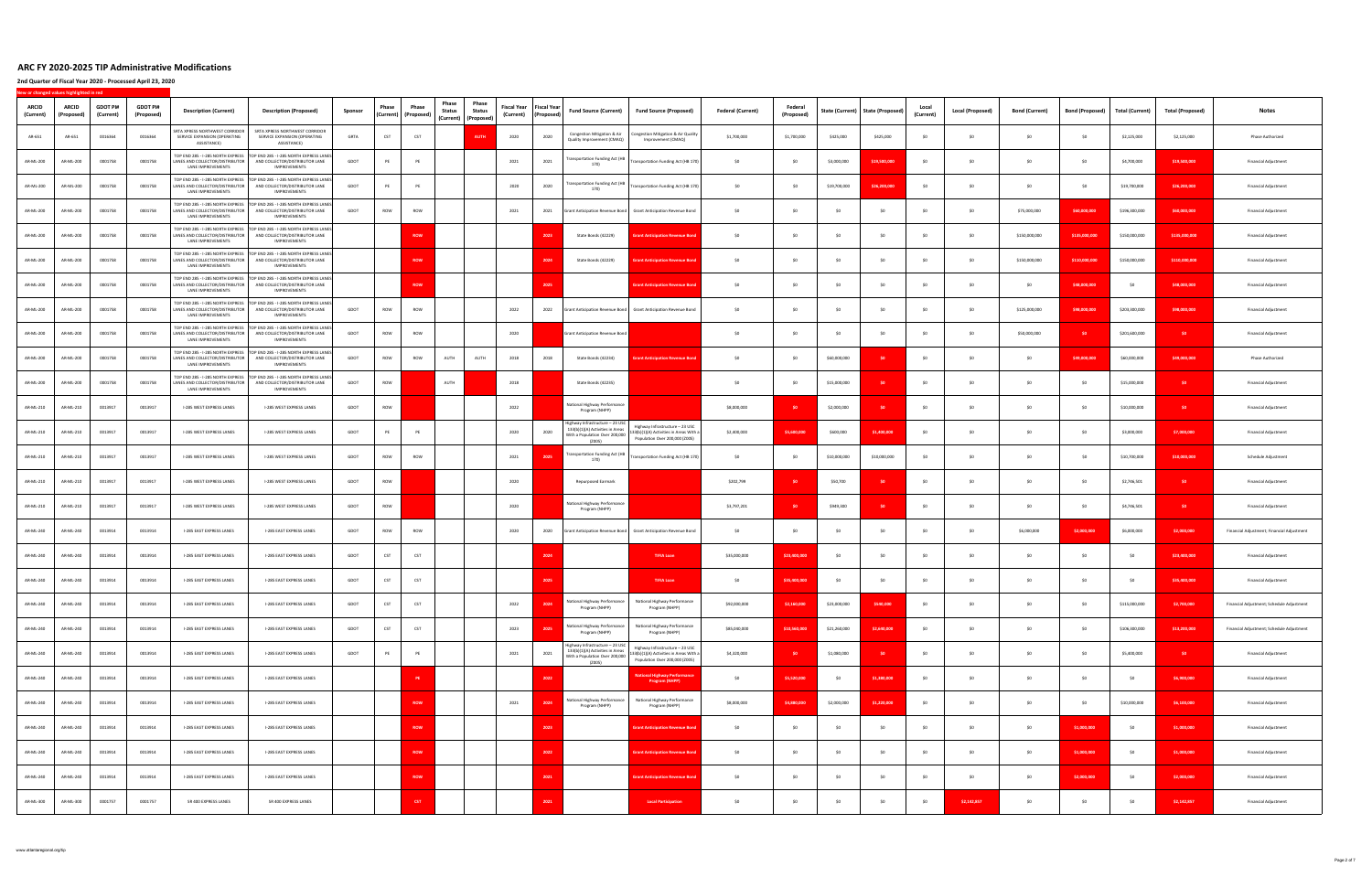**2nd Quarter of Fiscal Year 2020 ‐ Processed April 23, 2020**

| <b>ARCID</b><br>(Current) | <b>ARCID</b><br>(Proposed) | <b>GDOT PI#</b><br>(Current) | <b>GDOT PI#</b><br>(Proposed) | <b>Description (Current)</b>                                   | <b>Description (Proposed)</b>                                                                                                                                      | Sponsor | Phase | Phase<br>(Current) (Proposed) | Phase<br>Phase<br><b>Status</b><br><b>Status</b> | <b>Fiscal Year</b><br>(Current) | <b>Fiscal Year</b><br>(Proposed) | <b>Fund Source (Current)</b>                                                                                            | <b>Fund Source (Proposed)</b>                                              | <b>Federal (Current)</b> | Federal<br>(Proposed) | State (Current) | <b>State (Proposed)</b> | Local<br>(Current) | Local (Proposed) | <b>Bond (Current)</b> | <b>Bond (Proposed)</b> | <b>Total (Current)</b> | <b>Total (Proposed)</b> | <b>Notes</b>                               |
|---------------------------|----------------------------|------------------------------|-------------------------------|----------------------------------------------------------------|--------------------------------------------------------------------------------------------------------------------------------------------------------------------|---------|-------|-------------------------------|--------------------------------------------------|---------------------------------|----------------------------------|-------------------------------------------------------------------------------------------------------------------------|----------------------------------------------------------------------------|--------------------------|-----------------------|-----------------|-------------------------|--------------------|------------------|-----------------------|------------------------|------------------------|-------------------------|--------------------------------------------|
| AR-651                    | AR-651                     | 0016364                      | 0016364                       | SRTA XPRESS NORTHWEST CORRIDOR<br>SERVICE EXPANSION (OPERATING | SRTA XPRESS NORTHWEST CORRIDOR<br>SERVICE EXPANSION (OPERATING                                                                                                     | GRTA    | CST   | CST                           | (Current) (Proposed)<br><b>AUTH</b>              | 2020                            | 2020                             | Congestion Mitigation & Air<br>Quality Improvement (CMAQ)                                                               | Congestion Mitigation & Air Quality<br>Improvement (CMAQ)                  | \$1,700,000              | \$1,700,000           | \$425,000       | \$425,000               | \$0                | \$0              | SO                    | SO                     | \$2,125,000            | \$2,125,000             | <b>Phase Authorized</b>                    |
| AR-ML-200                 | AR-ML-200                  | 0001758                      | 0001758                       | ASSISTANCE)                                                    | ASSISTANCE)<br>TOP END 285 - I-285 NORTH EXPRESS TOP END 285 - I-285 NORTH EXPRESS LANES<br>LANES AND COLLECTOR/DISTRIBUTOR AND COLLECTOR/DISTRIBUTOR LANE         | GDOT    |       | PE                            |                                                  | 2021                            | 2021                             | <b>Transportation Funding Act (HB</b>                                                                                   | Transportation Funding Act (HB 170)                                        | SO                       | S0                    | \$3,000,000     | \$19,500,000            | SO                 | S <sub>0</sub>   | S <sub>0</sub>        | S <sub>0</sub>         | \$4,700,000            | \$19,500,000            | Financial Adjustment                       |
| AR-ML-200                 | AR-ML-200                  | 0001758                      | 0001758                       | LANE IMPROVEMENTS                                              | IMPROVEMENTS<br>TOP END 285 - I-285 NORTH EXPRESS TOP END 285 - I-285 NORTH EXPRESS LANES<br>LANES AND COLLECTOR/DISTRIBUTOR AND COLLECTOR/DISTRIBUTOR LANE        | GDOT    | PE    | PE                            |                                                  | 2020                            | 2020                             | <b>Transportation Funding Act (HB</b><br>170)                                                                           | Transportation Funding Act (HB 170)                                        | \$0                      | - SO                  | \$19,700,000    | \$26,200,000            | SO                 | \$0              | SO.                   | SO                     | \$19,700,000           | \$26,200,000            | Financial Adjustment                       |
| AR-ML-200                 | AR-ML-200                  | 0001758                      | 0001758                       | <b>LANE IMPROVEMENTS</b>                                       | <b>IMPROVEMENTS</b><br>TOP END 285 - I-285 NORTH EXPRESS TOP END 285 - I-285 NORTH EXPRESS LANES<br>LANES AND COLLECTOR/DISTRIBUTOR AND COLLECTOR/DISTRIBUTOR LANE | GDOT    | ROW   | <b>ROW</b>                    |                                                  | 2021                            | 2021                             | Grant Anticipation Revenue Bond                                                                                         | Grant Anticipation Revenue Bond                                            | \$0                      | SO.                   | S <sub>0</sub>  | SO.                     | SO.                | SO.              | \$75,000,000          | \$60,000,000           | \$196,300,000          | \$60,000,000            | Financial Adjustment                       |
| AR-ML-200                 | AR-ML-200                  | 0001758                      | 0001758                       | LANE IMPROVEMENTS                                              | <b>IMPROVEMENTS</b><br>TOP END 285 - I-285 NORTH EXPRESS TOP END 285 - I-285 NORTH EXPRESS LANES<br>LANES AND COLLECTOR/DISTRIBUTOR AND COLLECTOR/DISTRIBUTOR LANE |         |       | ROW                           |                                                  |                                 | 2023                             | State Bonds (42229)                                                                                                     | <b>Int Anticipation Revenue Bon</b>                                        | SO                       | \$0                   | SO              | SO                      | SO <sub>1</sub>    | S <sub>0</sub>   | \$150,000,000         | \$135,000,000          | \$150,000,000          | \$135,000,000           | Financial Adjustment                       |
| AR-ML-200                 | AR-ML-200                  | 0001758                      | 0001758                       | LANE IMPROVEMENTS                                              | <b>IMPROVEMENTS</b><br>TOP END 285 - I-285 NORTH EXPRESS TOP END 285 - I-285 NORTH EXPRESS LANES<br>LANES AND COLLECTOR/DISTRIBUTOR AND COLLECTOR/DISTRIBUTOR LANE |         |       | ROW                           |                                                  |                                 | 2024                             | State Bonds (42229)                                                                                                     | rant Anticipation Revenue Bon                                              | \$0                      | \$0                   | \$0             | \$0                     | \$0                | \$0              | \$150,000,000         | \$110,000,000          | \$150,000,000          | \$110,000,000           | <b>Financial Adjustment</b>                |
| AR-ML-200                 | AR-ML-200                  | 0001758                      | 0001758                       | <b>LANE IMPROVEMENTS</b>                                       | <b>IMPROVEMENTS</b><br>TOP END 285 - I-285 NORTH EXPRESS TOP END 285 - I-285 NORTH EXPRESS LANES<br>LANES AND COLLECTOR/DISTRIBUTOR AND COLLECTOR/DISTRIBUTOR LANE |         |       | <b>ROW</b>                    |                                                  |                                 | 2025                             |                                                                                                                         | <b>Srant Anticipation Revenue Bond</b>                                     | SO <sub>1</sub>          | \$0                   | S <sub>0</sub>  | -SO                     | SO.                | S0               | SO.                   | \$48,000,000           | S0                     | \$48,000,000            | Financial Adjustment                       |
| AR-ML-200                 | AR-ML-200                  | 0001758                      | 0001758                       | LANE IMPROVEMENTS                                              | <b>IMPROVEMENTS</b><br>TOP END 285 - I-285 NORTH EXPRESS TOP END 285 - I-285 NORTH EXPRESS LANES<br>LANES AND COLLECTOR/DISTRIBUTOR AND COLLECTOR/DISTRIBUTOR LANE | GDOT    | ROW   | ROW                           |                                                  | 2022                            | 2022                             |                                                                                                                         | Grant Anticipation Revenue Bond Grant Anticipation Revenue Bond            | SO <sub>1</sub>          | \$0                   | SO              | \$0                     | SO.                | \$0              | \$125,000,000         | \$98,000,000           | \$203,300,000          | \$98,000,000            | Financial Adjustment                       |
| AR-ML-200                 | AR-ML-200                  | 0001758                      | 0001758                       | LANE IMPROVEMENTS                                              | <b>IMPROVEMENTS</b><br>TOP END 285 - I-285 NORTH EXPRESS TOP END 285 - I-285 NORTH EXPRESS LANES<br>LANES AND COLLECTOR/DISTRIBUTOR AND COLLECTOR/DISTRIBUTOR LANE | GDOT    | ROW   | <b>ROW</b>                    |                                                  | 2020                            |                                  | <b>Grant Anticipation Revenue Bond</b>                                                                                  |                                                                            | - SO                     | \$0                   | SO.             | S.O                     | SO.                | SO.              | \$50,000,000          | -SO-                   | \$201,600,000          | SO <sub>1</sub>         | <b>Financial Adjustment</b>                |
| AR-ML-200                 | AR-ML-200                  | 0001758                      | 0001758                       | LANE IMPROVEMENTS                                              | IMPROVEMENTS<br>TOP END 285 - I-285 NORTH EXPRESS TOP END 285 - I-285 NORTH EXPRESS LANES<br>LANES AND COLLECTOR/DISTRIBUTOR AND COLLECTOR/DISTRIBUTOR LANE        | GDOT    | ROW   | ROW                           | AUTH<br>AUTH                                     | 2018                            | 2018                             | State Bonds (42234)                                                                                                     | <b>Grant Anticipation Revenue Bond</b>                                     | SO                       | - SO                  | \$60,000,000    | SO.                     | SO <sub>1</sub>    | SO               | SO <sub>1</sub>       | \$49,000,000           | \$60,000,000           | \$49,000,000            | Phase Authorized                           |
| AR-ML-200                 | AR-ML-200                  | 0001758                      | 0001758                       | LANE IMPROVEMENTS                                              | <b>IMPROVEMENTS</b><br>TOP END 285 - I-285 NORTH EXPRESS TOP END 285 - I-285 NORTH EXPRESS LANES<br>LANES AND COLLECTOR/DISTRIBUTOR AND COLLECTOR/DISTRIBUTOR LANE | GDOT    | ROW   |                               | AUTH                                             | 2018                            |                                  | State Bonds (42235)                                                                                                     |                                                                            |                          | S0                    | \$15,000,000    | SO <sub>1</sub>         |                    | S <sub>0</sub>   | S <sub>0</sub>        | \$0                    | \$15,000,000           | SO <sub>1</sub>         | Financial Adjustment                       |
| AR-ML-210                 | AR-ML-210                  | 0013917                      | 0013917                       | LANE IMPROVEMENTS<br><b>I-285 WEST EXPRESS LANES</b>           | <b>IMPROVEMENTS</b><br>I-285 WEST EXPRESS LANES                                                                                                                    | GDOT    | ROW   |                               |                                                  | 2022                            |                                  | National Highway Performance                                                                                            |                                                                            | \$8,000,000              | - SO                  | \$2,000,000     | SO.                     | SO.                | SO.              | SO.                   | \$0                    | \$10,000,000           | \$0                     | Financial Adjustment                       |
| AR-ML-210                 | AR-ML-210                  | 0013917                      | 0013917                       | I-285 WEST EXPRESS LANES                                       | I-285 WEST EXPRESS LANES                                                                                                                                           | GDOT    | PE    | <b>PE</b>                     |                                                  | 2020                            | 2020                             | Program (NHPP)<br>Highway Infrastructure – 23 USC<br>133(b)(1)(A) Activities in Areas<br>With a Population Over 200,000 | Highway Infrastructure - 23 USC<br>133(b)(1)(A) Activities in Areas With a | \$2,400,000              | \$5,600,000           | \$600,000       | \$1,400,000             | SO.                | SO               | S <sub>0</sub>        | S <sub>0</sub>         | \$3,000,000            | \$7,000,000             | <b>Financial Adjustment</b>                |
| AR-ML-210                 | AR-ML-210                  | 0013917                      | 0013917                       | I-285 WEST EXPRESS LANES                                       | I-285 WEST EXPRESS LANES                                                                                                                                           | GDOT    | ROW   | ROW                           |                                                  | 2021                            | 2025                             | (2005)<br><b>Transportation Funding Act (HB</b>                                                                         | Population Over 200,000 (Z005)<br>Fransportation Funding Act (HB 170)      | \$0                      | \$0                   | \$10,000,000    | \$10,000,000            | \$0                | \$0              | \$0                   | SO                     | \$10,700,000           | \$10,000,000            | Schedule Adjustment                        |
| AR-ML-210                 | AR-ML-210                  | 0013917                      | 0013917                       | I-285 WEST EXPRESS LANES                                       | I-285 WEST EXPRESS LANES                                                                                                                                           | GDOT    | ROW   |                               |                                                  | 2020                            |                                  | 170)<br>Repurposed Earmark                                                                                              |                                                                            | \$202,799                | <b>SO</b>             | \$50,700        | -SO                     | -SO                | S0               | SO.                   | SO                     | \$2,746,501            | SO <sub>1</sub>         | <b>Financial Adjustment</b>                |
| AR-ML-210                 | AR-ML-210                  | 0013917                      | 0013917                       | I-285 WEST EXPRESS LANES                                       | I-285 WEST EXPRESS LANES                                                                                                                                           | GDOT    | ROW   |                               |                                                  | 2020                            |                                  | National Highway Performance                                                                                            |                                                                            | \$3,797,201              | <b>SO</b>             | \$949,300       |                         | SO <sub>1</sub>    | SO               | S <sub>0</sub>        | SO                     | \$4,746,501            | SO <sub>1</sub>         | Financial Adjustment                       |
| AR-ML-240                 | AR-ML-240                  | 0013914                      | 0013914                       | I-285 EAST EXPRESS LANES                                       | I-285 EAST EXPRESS LANES                                                                                                                                           | GDOT    | ROW   | ROW                           |                                                  | 2020                            | 2020                             | Program (NHPP)                                                                                                          | Grant Anticipation Revenue Bond Grant Anticipation Revenue Bond            | \$0                      | \$0                   | \$0             | \$0                     | SO.                | \$0              | \$6,000,000           | \$2,000,000            | \$6,000,000            | \$2,000,000             | Financial Adjustment; Financial Adjustment |
| AR-ML-240                 | AR-ML-240                  | 0013914                      | 0013914                       | I-285 EAST EXPRESS LANES                                       | I-285 EAST EXPRESS LANES                                                                                                                                           | GDOT    | CST   | CST                           |                                                  |                                 | 2024                             |                                                                                                                         | <b>TIFIA Loan</b>                                                          | \$35,000,000             | \$23,400,000          | SO              | SO.                     | SO.                | S0               | SO.                   | SO                     | S <sub>0</sub>         | \$23,400,000            | Financial Adjustment                       |
| AR-ML-240                 | AR-ML-240                  | 0013914                      | 0013914                       | I-285 EAST EXPRESS LANES                                       | I-285 EAST EXPRESS LANES                                                                                                                                           | GDOT    | CST   | CST                           |                                                  |                                 | 2025                             |                                                                                                                         | <b>TIFIA Loan</b>                                                          | \$0                      | \$35,400,000          | \$0             | SO                      | \$0                | \$0              | \$0                   | 50                     | \$0                    | \$35,400,000            | Financial Adjustment                       |
|                           |                            |                              |                               |                                                                |                                                                                                                                                                    |         |       |                               |                                                  |                                 |                                  | National Highway Performance                                                                                            | National Highway Performance                                               |                          |                       |                 |                         |                    |                  |                       |                        |                        |                         |                                            |
| AR-ML-240                 | AR-ML-240                  | 0013914                      | 0013914                       | I-285 EAST EXPRESS LANES                                       | I-285 EAST EXPRESS LANES                                                                                                                                           | GDOT    | CST   | CST                           |                                                  | 2022                            | 2024                             | Program (NHPP)<br>National Highway Performance                                                                          | Program (NHPP)<br>National Highway Performance                             | \$92,000,000             | \$2,160,000           | \$23,000,000    | \$540,000               | \$0                | \$0              | \$0                   | SO                     | \$115,000,000          | \$2,700,000             | Financial Adjustment; Schedule Adjustment  |
| AR-ML-240                 | AR-ML-240                  | 0013914                      | 0013914                       | I-285 EAST EXPRESS LANES                                       | I-285 EAST EXPRESS LANES                                                                                                                                           | GDOT    | CST   | CST                           |                                                  | 2023                            | 2025                             | Program (NHPP)<br>Highway Infrastructure - 23 USC<br>133(b)(1)(A) Activities in Areas                                   | Program (NHPP)<br>Highway Infrastructure - 23 USC                          | \$85,040,000             | \$10,560,000          | \$21,260,000    | \$2,640,000             | \$0                | \$0              | \$0                   | \$0                    | \$106,300,000          | \$13,200,000            | Financial Adjustment; Schedule Adjustment  |
| AR-ML-240                 | AR-ML-240                  | 0013914                      | 0013914                       | I-285 EAST EXPRESS LANES                                       | I-285 EAST EXPRESS LANES                                                                                                                                           | GDOT    | PE    | PE                            |                                                  | 2021                            | 2021                             | With a Population Over 200,000<br>(2005)                                                                                | 133(b)(1)(A) Activities in Areas With a<br>Population Over 200,000 (Z005)  | \$4,320,000              | <b>SO</b>             | \$1,080,000     | SO <sub>1</sub>         | \$0                | \$0              | \$0                   | \$0                    | \$5,400,000            | SO <sub>1</sub>         | Financial Adjustment                       |
| AR-ML-240                 | AR-ML-240                  | 0013914                      | 0013914                       | I-285 EAST EXPRESS LANES                                       | <b>I-285 EAST EXPRESS LANES</b>                                                                                                                                    |         |       | PE                            |                                                  |                                 | 2022                             |                                                                                                                         | tional Highway Performa<br><b>Program (NHPP)</b>                           | \$0                      | \$5,520,000           | \$0             | \$1,380,000             | \$0                | \$0              | \$0                   | \$0                    | \$0                    | \$6,900,000             | Financial Adjustment                       |
| AR-ML-240                 | AR-ML-240                  | 0013914                      | 0013914                       | I-285 EAST EXPRESS LANES                                       | I-285 EAST EXPRESS LANES                                                                                                                                           |         |       | ROW                           |                                                  | 2021                            | 2024                             | National Highway Performance<br>Program (NHPP)                                                                          | National Highway Performance<br>Program (NHPP)                             | \$8,000,000              | \$4,880,000           | \$2,000,000     | \$1,220,000             | \$0                | \$0              | \$0                   | \$0                    | \$10,000,000           | \$6,100,000             | Financial Adjustment                       |
| AR-ML-240                 | AR-ML-240                  | 0013914                      | 0013914                       | I-285 EAST EXPRESS LANES                                       | I-285 EAST EXPRESS LANES                                                                                                                                           |         |       | <b>ROW</b>                    |                                                  |                                 | 2023                             |                                                                                                                         | ant Anticipation Revenue Bo                                                | \$0                      | \$0                   | \$0             | SO                      | \$0                | \$0              | \$0                   | \$1,000,000            | \$0                    | \$1,000,000             | <b>Financial Adjustment</b>                |
| AR-ML-240                 | AR-ML-240                  | 0013914                      | 0013914                       | I-285 EAST EXPRESS LANES                                       | I-285 EAST EXPRESS LANES                                                                                                                                           |         |       | ROW                           |                                                  |                                 | 2022                             |                                                                                                                         | <b>Srant Anticipation Revenue Bon</b>                                      | \$0                      | \$0                   | \$0             | \$0                     | \$0                | \$0              | \$0                   | \$1,000,000            | \$0                    | \$1,000,000             | Financial Adjustment                       |
| AR-ML-240                 | AR-ML-240                  | 0013914                      | 0013914                       | I-285 EAST EXPRESS LANES                                       | I-285 EAST EXPRESS LANES                                                                                                                                           |         |       | ROW                           |                                                  |                                 | 2021                             |                                                                                                                         | <b>Int Anticipation Revenue Bon</b>                                        | \$0                      | \$0                   | SO              | \$0                     | \$0                | \$0              | \$0                   | \$2,000,000            | \$0                    | \$2,000,000             | Financial Adjustment                       |
| AR-ML-300                 | AR-ML-300                  | 0001757                      | 0001757                       | SR 400 EXPRESS LANES                                           | SR 400 EXPRESS LANES                                                                                                                                               |         |       |                               |                                                  |                                 | 2021                             |                                                                                                                         | <b>Local Participation</b>                                                 | \$0                      | \$0                   | \$0             | \$0                     | \$0                | \$2,142,857      | \$0                   | SO                     | \$0                    | \$2,142,857             | <b>Financial Adjustment</b>                |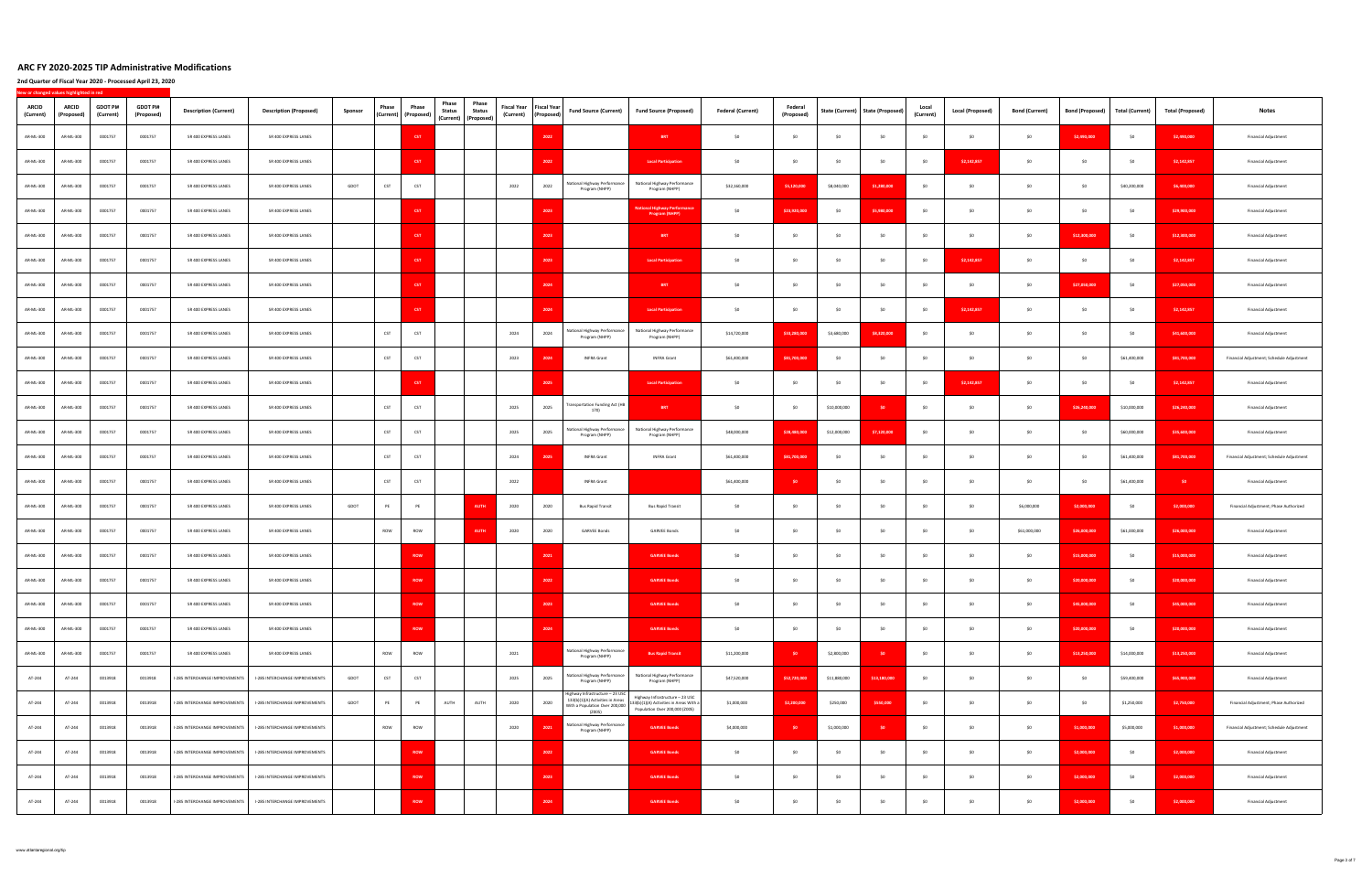| <b>ARCID</b><br>(Current) | <b>ARCID</b><br>(Proposed) | <b>GDOT PI#</b><br>(Current) | <b>GDOT PI#</b><br>(Proposed) | <b>Description (Current)</b>   | <b>Description (Proposed)</b>  | Sponsor | Phase | Phase<br>(Current) (Proposed) | Phase<br><b>Status</b><br>(Current) (Proposed) | Phase<br><b>Fiscal Year</b><br><b>Status</b><br>(Current) | <b>Fiscal Year</b><br>(Proposed) | <b>Fund Source (Current)</b>                                                                                    | <b>Fund Source (Proposed)</b>                                                                                | <b>Federal (Current)</b> | Federal<br>(Proposed) | State (Current) | <b>State (Proposed)</b> | Local<br>(Current) | <b>Local (Proposed)</b> | <b>Bond (Current)</b> | <b>Bond (Proposed)</b> | <b>Total (Current)</b> | <b>Total (Proposed)</b> | <b>Notes</b>                              |
|---------------------------|----------------------------|------------------------------|-------------------------------|--------------------------------|--------------------------------|---------|-------|-------------------------------|------------------------------------------------|-----------------------------------------------------------|----------------------------------|-----------------------------------------------------------------------------------------------------------------|--------------------------------------------------------------------------------------------------------------|--------------------------|-----------------------|-----------------|-------------------------|--------------------|-------------------------|-----------------------|------------------------|------------------------|-------------------------|-------------------------------------------|
| AR-ML-300                 | AR-ML-300                  | 0001757                      | 0001757                       | SR 400 EXPRESS LANES           | SR 400 EXPRESS LANES           |         |       | <b>CST</b>                    |                                                |                                                           | 2022                             |                                                                                                                 | <b>BRT</b>                                                                                                   | \$0                      | \$0                   | \$0             | S <sub>0</sub>          | \$0                | \$0                     | \$0                   | \$2,490,000            | \$0                    | \$2,490,000             | Financial Adjustment                      |
| AR-ML-300                 | AR-ML-300                  | 0001757                      | 0001757                       | SR 400 EXPRESS LANES           | SR 400 EXPRESS LANES           |         |       | <b>CST</b>                    |                                                |                                                           | 2022                             |                                                                                                                 | <b>Local Participation</b>                                                                                   | SO                       | \$0                   | \$0             | \$0                     | \$0                | \$2,142,857             | \$0                   | \$0                    | \$0                    | \$2,142,857             | <b>Financial Adjustment</b>               |
| AR-ML-300                 | AR-ML-300                  | 0001757                      | 0001757                       | SR 400 EXPRESS LANES           | SR 400 EXPRESS LANES           | GDOT    | CST   | CST                           |                                                | 2022                                                      | 2022                             | Vational Highway Performance<br>Program (NHPP)                                                                  | National Highway Performance<br>Program (NHPP)                                                               | \$32,160,000             | \$5,120,000           | \$8,040,000     | \$1,280,000             | SO.                | \$0                     | \$0                   | 50                     | \$40,200,000           | \$6,400,000             | <b>Financial Adjustment</b>               |
| AR-ML-300                 | AR-ML-300                  | 0001757                      | 0001757                       | SR 400 EXPRESS LANES           | SR 400 EXPRESS LANES           |         |       | CST                           |                                                |                                                           | 2023                             |                                                                                                                 | tional Highway Perfor<br>Program (NHPP)                                                                      | \$0                      | \$23,920,000          | \$0             | \$5,980,000             | \$0                | SO                      | \$0                   | \$0                    | \$0                    | \$29,900,000            | <b>Financial Adjustment</b>               |
| AR-ML-300                 | AR-ML-300                  | 0001757                      | 0001757                       | SR 400 EXPRESS LANES           | SR 400 EXPRESS LANES           |         |       | CST                           |                                                |                                                           | 2023                             |                                                                                                                 | <b>BRT</b>                                                                                                   | SO                       | \$0                   | \$0             | \$0                     | \$0                | SO                      | \$0                   | \$12,300,000           | \$0                    | \$12,300,000            | <b>Financial Adjustment</b>               |
| AR-ML-300                 | AR-ML-300                  | 0001757                      | 0001757                       | SR 400 EXPRESS LANES           | SR 400 EXPRESS LANES           |         |       | <b>CST</b>                    |                                                |                                                           | 2023                             |                                                                                                                 | <b>Local Participation</b>                                                                                   | \$0                      | \$0                   | \$0             | \$0                     | \$0                | \$2,142,857             | \$0                   | \$0                    | \$0                    | \$2,142,857             | <b>Financial Adjustment</b>               |
| AR-ML-300                 | AR-ML-300                  | 0001757                      | 0001757                       | SR 400 EXPRESS LANES           | SR 400 EXPRESS LANES           |         |       | <b>CST</b>                    |                                                |                                                           | 2024                             |                                                                                                                 | <b>BRT</b>                                                                                                   | \$0                      | SO.                   | \$0             | S <sub>0</sub>          | \$0                | \$0                     | \$0                   | \$27,050,000           | \$0                    | \$27,050,000            | <b>Financial Adjustment</b>               |
| AR-ML-300                 | AR-ML-300                  | 0001757                      | 0001757                       | SR 400 EXPRESS LANES           | SR 400 EXPRESS LANES           |         |       | CST                           |                                                |                                                           | 2024                             |                                                                                                                 | <b>Local Participation</b>                                                                                   | \$0                      | \$0                   | \$0             | \$0                     | \$0                | \$2,142,857             | \$0                   | \$0                    | \$0                    | \$2,142,857             | <b>Financial Adjustment</b>               |
| AR-ML-300                 | AR-ML-300                  | 0001757                      | 0001757                       | SR 400 EXPRESS LANES           | SR 400 EXPRESS LANES           |         | CST   | CST                           |                                                | 2024                                                      | 2024                             | <b>Vational Highway Performance</b><br>Program (NHPP)                                                           | National Highway Performance<br>Program (NHPP)                                                               | \$14,720,000             | \$33,280,000          | \$3,680,000     | \$8,320,000             | SO.                | SO.                     | \$0                   | 50                     | \$0                    | \$41,600,000            | <b>Financial Adjustment</b>               |
| AR-ML-300                 | AR-ML-300                  | 0001757                      | 0001757                       | SR 400 EXPRESS LANES           | SR 400 EXPRESS LANES           |         | CST   | CST                           |                                                | 2023                                                      | 2024                             | <b>INFRA Grant</b>                                                                                              | <b>INFRA Grant</b>                                                                                           | \$61,400,000             | \$81,700,000          | \$0             | S0                      | \$0                | SO                      | \$0                   | \$0                    | \$61,400,000           | \$81,700,000            | Financial Adjustment; Schedule Adjustment |
| AR-ML-300                 | AR-ML-300                  | 0001757                      | 0001757                       | SR 400 EXPRESS LANES           | SR 400 EXPRESS LANES           |         |       | CST                           |                                                |                                                           | 2025                             |                                                                                                                 | <b>Local Participation</b>                                                                                   | \$0                      | \$0                   | \$0             | \$0                     | \$0                | \$2,142,857             | \$0                   | SO                     | \$0                    | \$2,142,857             | Financial Adjustment                      |
| AR-ML-300                 | AR-ML-300                  | 0001757                      | 0001757                       | SR 400 EXPRESS LANES           | SR 400 EXPRESS LANES           |         | CST   | CST                           |                                                | 2025                                                      | 2025                             | ransportation Funding Act (HB<br>170)                                                                           | <b>BRT</b>                                                                                                   | \$0                      | \$0                   | \$10,000,000    | S <sub>0</sub>          | SO                 | SO                      | \$0                   | \$26,240,000           | \$10,000,000           | \$26,240,000            | <b>Financial Adjustment</b>               |
| AR-ML-300                 | AR-ML-300                  | 0001757                      | 0001757                       | SR 400 EXPRESS LANES           | SR 400 EXPRESS LANES           |         | CST   | CST                           |                                                | 2025                                                      | 2025                             | <b>Vational Highway Performance</b><br>Program (NHPP)                                                           | National Highway Performance<br>Program (NHPP)                                                               | \$48,000,000             | \$28,480,000          | \$12,000,000    | \$7,120,000             | SO                 | SO                      | \$0                   | \$0                    | \$60,000,000           | \$35,600,000            | <b>Financial Adjustment</b>               |
| AR-ML-300                 | AR-ML-300                  | 0001757                      | 0001757                       | SR 400 EXPRESS LANES           | SR 400 EXPRESS LANES           |         | CST   | CST                           |                                                | 2024                                                      | 2025                             | <b>INFRA Grant</b>                                                                                              | <b>INFRA Grant</b>                                                                                           | \$61,400,000             | \$81,700,000          | \$0             | \$0                     | \$0                | \$O                     | \$0                   | 50                     | \$61,400,000           | \$81,700,000            | Financial Adjustment; Schedule Adjustment |
| AR-ML-300                 | AR-ML-300                  | 0001757                      | 0001757                       | SR 400 EXPRESS LANES           | SR 400 EXPRESS LANES           |         | CST   | CST                           |                                                | 2022                                                      |                                  | <b>INFRA Grant</b>                                                                                              |                                                                                                              | \$61,400,000             | SO.                   | \$0             | SO                      | \$0                | SO                      | \$0                   | 50                     | \$61,400,000           | SO <sub>2</sub>         | <b>Financial Adjustment</b>               |
| AR-ML-300                 | AR-ML-300                  | 0001757                      | 0001757                       | SR 400 EXPRESS LANES           | SR 400 EXPRESS LANES           | GDOT    | PE    | PE                            |                                                | <b>AUTH</b><br>2020                                       | 2020                             | <b>Bus Rapid Transit</b>                                                                                        | <b>Bus Rapid Transit</b>                                                                                     | \$0                      | \$0                   | \$0             | \$0                     | \$0                | \$0                     | \$6,000,000           | \$2,000,000            | \$0                    | \$2,000,000             | Financial Adjustment; Phase Authorized    |
| AR-ML-300                 | AR-ML-300                  | 0001757                      | 0001757                       | SR 400 EXPRESS LANES           | SR 400 EXPRESS LANES           |         | ROW   | ROW                           |                                                | <b>AUTH</b><br>2020                                       | 2020                             | <b>GARVEE Bonds</b>                                                                                             | <b>GARVEE Bonds</b>                                                                                          | \$0                      | \$0                   | SO              | \$0                     | \$0                | \$0                     | \$61,000,000          | \$26,000,000           | \$61,000,000           | \$26,000,000            | Financial Adjustment                      |
| AR-ML-300                 | AR-ML-300                  | 0001757                      | 0001757                       | SR 400 EXPRESS LANES           | SR 400 EXPRESS LANES           |         |       | <b>ROW</b>                    |                                                |                                                           | 2021                             |                                                                                                                 | <b>GARVEE Bonds</b>                                                                                          | \$0                      | SO.                   | \$0             | SO                      | SO                 | SO.                     | \$0                   | \$15,000,000           | \$0                    | \$15,000,000            | <b>Financial Adjustment</b>               |
| AR-ML-300                 | AR-ML-300                  | 0001757                      | 0001757                       | SR 400 EXPRESS LANES           | SR 400 EXPRESS LANES           |         |       | ROW                           |                                                |                                                           | 2022                             |                                                                                                                 | <b>GARVEE Bonds</b>                                                                                          | \$0                      | \$0                   | \$0             | \$0                     | \$0                | \$0                     | \$0                   | \$20,000,000           | \$0                    | \$20,000,000            | <b>Financial Adjustment</b>               |
| AR-ML-300                 | AR-ML-300                  | 0001757                      | 0001757                       | SR 400 EXPRESS LANES           | SR 400 EXPRESS LANES           |         |       | <b>ROW</b>                    |                                                |                                                           | 2023                             |                                                                                                                 | <b>GARVEE Bonds</b>                                                                                          | \$0                      | \$0                   | \$0             | \$0                     | \$0                | \$0                     | \$0                   | \$45,000,000           | \$0                    | \$45,000,000            | Financial Adjustment                      |
| AR-ML-300                 | AR-ML-300                  | 0001757                      | 0001757                       | SR 400 EXPRESS LANES           | SR 400 EXPRESS LANES           |         |       | ROW                           |                                                |                                                           | 2024                             |                                                                                                                 | <b>GARVEE Bonds</b>                                                                                          | \$0                      | \$0                   | \$0             | \$0                     | \$0                | SO                      | \$0                   | \$20,000,000           | 50                     | \$20,000,000            | <b>Financial Adjustment</b>               |
| AR-ML-300                 | AR-ML-300                  | 0001757                      | 0001757                       | SR 400 EXPRESS LANES           | SR 400 EXPRESS LANES           |         | ROW   | ROW                           |                                                | 2021                                                      |                                  | National Highway Performance<br>Program (NHPP)                                                                  | <b>Bus Rapid Transit</b>                                                                                     | \$11,200,000             |                       | \$2,800,000     | <b>SO</b>               | \$0                | \$0                     | \$0                   | \$13,250,000           | \$14,000,000           | \$13,250,000            | <b>Financial Adjustment</b>               |
| AT-244                    | AT-244                     | 0013918                      | 0013918                       | I-285 INTERCHANGE IMPROVEMENTS | I-285 INTERCHANGE IMPROVEMENTS | GDOT    | CST   | CST                           |                                                | 2025                                                      | 2025                             | Vational Highway Performance<br>Program (NHPP)                                                                  | National Highway Performance<br>Program (NHPP)                                                               | \$47,520,000             | \$52,720,000          | \$11,880,000    | \$13,180,000            | \$0                | SO                      | \$0                   | \$0                    | \$59,400,000           | \$65,900,000            | <b>Financial Adjustment</b>               |
| AT-244                    | AT-244                     | 0013918                      | 0013918                       | I-285 INTERCHANGE IMPROVEMENTS | I-285 INTERCHANGE IMPROVEMENTS | GDOT    | PE    | PE                            | AUTH                                           | AUTH<br>2020                                              | 2020                             | Highway Infrastructure - 23 USC<br>133(b)(1)(A) Activities in Areas<br>With a Population Over 200,000<br>(Z005) | Highway Infrastructure - 23 USC<br>133(b)(1)(A) Activities in Areas With a<br>Population Over 200,000 (Z005) | \$1,000,000              | \$2,200,000           | \$250,000       | \$550,000               | \$0                | SO                      | \$0                   | \$0                    | \$1,250,000            | \$2,750,000             | Financial Adjustment; Phase Authorized    |
| AT-244                    | AT-244                     | 0013918                      | 0013918                       | I-285 INTERCHANGE IMPROVEMENTS | I-285 INTERCHANGE IMPROVEMENTS |         | ROW   | ROW                           |                                                | 2020                                                      | 2021                             | National Highway Performance<br>Program (NHPP)                                                                  | <b>GARVEE Bonds</b>                                                                                          | \$4,000,000              | \$0                   | \$1,000,000     | SO <sub>1</sub>         | \$0                | \$0                     | \$0                   | \$1,000,000            | \$5,000,000            | \$1,000,000             | Financial Adjustment; Schedule Adjustment |
| AT-244                    | AT-244                     | 0013918                      | 0013918                       | I-285 INTERCHANGE IMPROVEMENTS | I-285 INTERCHANGE IMPROVEMENTS |         |       | ROW                           |                                                |                                                           | 2022                             |                                                                                                                 | <b>GARVEE Bonds</b>                                                                                          | \$0                      | \$0                   | \$0             | \$0                     | \$0                | \$0                     | \$0                   | \$2,000,000            | \$0                    | \$2,000,000             | <b>Financial Adjustment</b>               |
| AT-244                    | AT-244                     | 0013918                      | 0013918                       | I-285 INTERCHANGE IMPROVEMENTS | I-285 INTERCHANGE IMPROVEMENTS |         |       | ROW                           |                                                |                                                           | 2023                             |                                                                                                                 | <b>GARVEE Bonds</b>                                                                                          | \$0                      | \$0                   | \$0             | \$0                     | \$0                | \$0                     | \$0                   | \$2,000,000            | 50                     | \$2,000,000             | <b>Financial Adjustment</b>               |
| AT-244                    | AT-244                     | 0013918                      | 0013918                       | -285 INTERCHANGE IMPROVEMENTS  | I-285 INTERCHANGE IMPROVEMENTS |         |       | <b>ROW</b>                    |                                                |                                                           | 2024                             |                                                                                                                 | <b>GARVEE Bonds</b>                                                                                          | \$0                      | \$0                   | \$0             | \$0                     | \$0                | \$0                     | \$0                   | \$2,000,000            | \$0                    | \$2,000,000             | Financial Adjustment                      |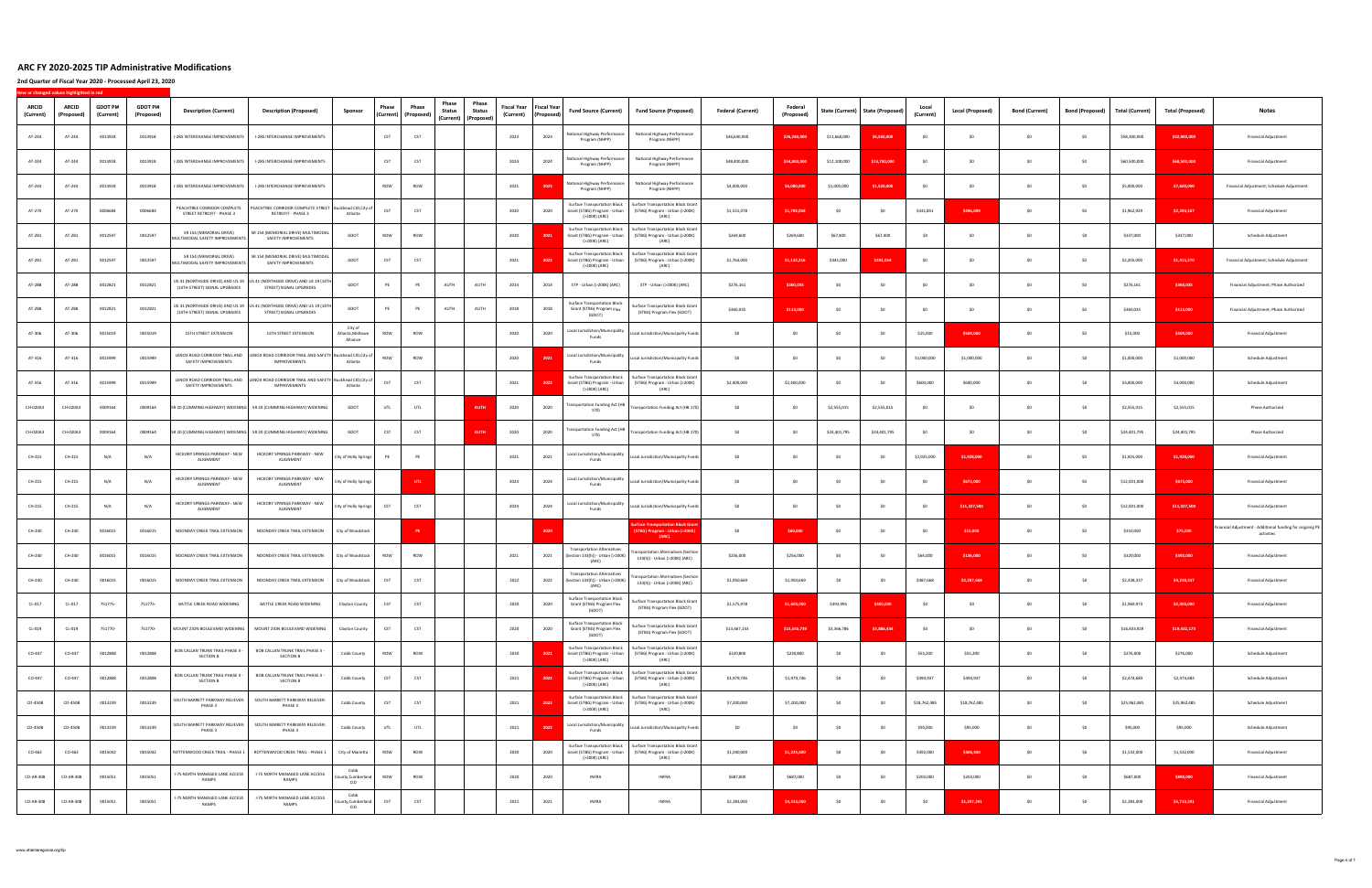| <b>ARCID</b><br>(Current) | <b>ARCID</b><br>(Proposed) | <b>GDOT PI#</b><br>(Current) | <b>GDOT PI#</b><br>(Proposed) | <b>Description (Current)</b>                                 | <b>Description (Proposed)</b><br>Sponsor                                                                            | Phase<br>(Current) | Phase<br>(Proposed) | Phase<br>Phase<br><b>Status</b><br><b>Status</b><br>(Current) (Proposed) | <b>Fiscal Year</b><br>(Current) | <b>Fiscal Year</b><br>(Proposed) | <b>Fund Source (Current)</b>                                                         | <b>Fund Source (Proposed)</b>                                                                                                             | <b>Federal (Current)</b> | Federal<br>(Proposed) | State (Current) | <b>State (Proposed)</b> | Local<br>(Current) | Local (Proposed) | <b>Bond (Current)</b> | <b>Bond (Proposed)</b> | <b>Total (Current)</b> | <b>Total (Proposed)</b> | <b>Notes</b>                                                           |
|---------------------------|----------------------------|------------------------------|-------------------------------|--------------------------------------------------------------|---------------------------------------------------------------------------------------------------------------------|--------------------|---------------------|--------------------------------------------------------------------------|---------------------------------|----------------------------------|--------------------------------------------------------------------------------------|-------------------------------------------------------------------------------------------------------------------------------------------|--------------------------|-----------------------|-----------------|-------------------------|--------------------|------------------|-----------------------|------------------------|------------------------|-------------------------|------------------------------------------------------------------------|
| AT-244                    | AT-244                     | 0013918                      | 0013918                       | <b>I-285 INTERCHANGE IMPROVEMENTS</b>                        | I-285 INTERCHANGE IMPROVEMENTS                                                                                      | CST                | CST                 |                                                                          | 2023                            | 2023                             | ational Highway Performance<br>Program (NHPP)                                        | National Highway Performance<br>Program (NHPP)                                                                                            | \$46,640,000             | \$26,240,000          | \$11,660,000    | \$6,560,000             | \$0                | SO.              | \$0                   | \$0                    | \$58,300,000           | \$32,800,000            | <b>Financial Adjustment</b>                                            |
| AT-244                    | AT-244                     | 0013918                      | 0013918                       | -285 INTERCHANGE IMPROVEMENTS                                | I-285 INTERCHANGE IMPROVEMENTS                                                                                      | CST                | CST                 |                                                                          | 2024                            | 2024                             | National Highway Performance<br>Program (NHPP)                                       | National Highway Performance<br>Program (NHPP)                                                                                            | \$48,400,000             | \$54,800.00           | \$12,100,000    | \$13,700,000            | SO                 | S <sub>0</sub>   | SO.                   | SO                     | \$60,500,000           | \$68,500,000            | <b>Financial Adjustment</b>                                            |
| AT-244                    | AT-244                     | 0013918                      | 0013918                       | I-285 INTERCHANGE IMPROVEMENTS                               | I-285 INTERCHANGE IMPROVEMENTS                                                                                      | ROW                | ROW                 |                                                                          | 2021                            | 2023                             | lational Highway Performance<br>Program (NHPP)                                       | National Highway Performance<br>Program (NHPP)                                                                                            | \$4,000,000              | \$6,080,000           | \$1,000,000     | \$1,520,000             | SO                 | \$O              | S <sub>0</sub>        | \$0                    | \$5,000,000            | \$7,600,000             | Financial Adjustment; Schedule Adjustment                              |
| AT-270                    | AT-270                     | 0006684                      | 0006684                       | PEACHTREE CORRIDOR COMPLETE<br>STREET RETROFIT - PHASE 3     | PEACHTREE CORRIDOR COMPLETE STREET Buckhead CID, City of<br>RETROFIT - PHASE 3<br>Atlanta                           | CST                | CST                 |                                                                          | 2020                            | 2020                             | Surface Transportation Block<br>Grant (STBG) Program - Urban<br>(>200K) (ARC)        | Surface Transportation Block Grant<br>(STBG) Program - Urban (>200K)<br>(ARC)                                                             | \$1,531,078              | \$1,788,068           | SO.             | S <sub>0</sub>          | \$431,851          | \$496,099        | S <sub>0</sub>        | \$0                    | \$1,962,929            | \$2,284,167             | <b>Financial Adjustment</b>                                            |
| AT-281                    | AT-281                     | 0012597                      | 0012597                       | SR 154 (MEMORIAL DRIVE)<br>IULTIMODAL SAFETY IMPROVEMENTS    | SR 154 (MEMORIAL DRIVE) MULTIMODAL<br>GDOT<br>SAFETY IMPROVEMENTS                                                   | ROW                | ROW                 |                                                                          | 2020                            | 2021                             | Surface Transportation Block<br>Grant (STBG) Program - Urban<br>(>200K) (ARC)        | Surface Transportation Block Gran<br>(STBG) Program - Urban (>200K)<br>(ARC)                                                              | \$269,600                | \$269,600             | \$67,400        | \$67,400                | \$0                | S <sub>0</sub>   | SO.                   | \$0                    | \$337,000              | \$337,000               | Schedule Adjustment                                                    |
| AT-281                    | AT-281                     | 0012597                      | 0012597                       | SR 154 (MEMORIAL DRIVE)<br>MULTIMODAL SAFETY IMPROVEMENTS    | SR 154 (MEMORIAL DRIVE) MULTIMODAL<br>GDOT<br>SAFETY IMPROVEMENTS                                                   | CST                | CST                 |                                                                          | 2021                            | 2022                             | <b>Surface Transportation Block</b><br>Grant (STBG) Program - Urban<br>(>200K) (ARC) | Surface Transportation Block Gran<br>(STBG) Program - Urban (>200K)<br>(ARC)                                                              | \$1,764,000              | \$1,132,216           | \$441,000       | \$283,054               | \$0                | \$O              | \$0                   | \$0                    | \$2,205,000            | \$1,415,270             | Financial Adjustment; Schedule Adjustment                              |
| AT-288                    | AT-288                     | 0012821                      | 0012821                       | (14TH STREET) SIGNAL UPGRADES                                | JS 41 (NORTHSIDE DRIVE) AND US 19 US 41 (NORTHSIDE DRIVE) AND US 19 (14TH<br>GDOT<br>STREET) SIGNAL UPGRADES        | PE                 | PE                  | AUTH<br>AUTH                                                             | 2014                            | 2014                             | STP - Urban (>200K) (ARC)                                                            | STP - Urban (>200K) (ARC)                                                                                                                 | \$276,161                | \$360.03              | SO              | S <sub>0</sub>          | \$0                | SO.              | S <sub>0</sub>        | \$0                    | \$276,161              | \$360,035               | Financial Adjustment; Phase Authorized                                 |
| AT-288                    | AT-288                     | 0012821                      | 0012821                       | (14TH STREET) SIGNAL UPGRADES                                | US 41 (NORTHSIDE DRIVE) AND US 19 US 41 (NORTHSIDE DRIVE) AND US 19 (14TH<br>GDOT<br>STREET) SIGNAL UPGRADES        | PE                 |                     | AUTH<br>AUTH                                                             | 2018                            | 2018                             | <b>Surface Transportation Block</b><br>Grant (STBG) Program Flex<br>(GDOT)           | Surface Transportation Block Grant<br>(STBG) Program Flex (GDOT)                                                                          | \$360,035                | \$113,000             | \$0             | \$0                     | \$0                | SO               | S <sub>0</sub>        | \$0                    | \$360,035              | \$113,000               | Financial Adjustment; Phase Authorized                                 |
| AT-306                    | AT-306                     | 0015019                      | 0015019                       | 15TH STREET EXTENSION                                        | City of<br>15TH STREET EXTENSION<br>Atlanta, Midtowr<br>Alliance                                                    | ROW                | ROW                 |                                                                          | 2020                            | 2020                             | Local Jurisdiction/Municipality<br>Funds                                             | Local Jurisdiction/Municipality Funds                                                                                                     | SO <sub>1</sub>          | -so                   | SO.             | ۹n                      | \$15,000           | \$509,000        | - SO                  | \$0                    | \$15,000               | \$509,000               | <b>Financial Adjustment</b>                                            |
| AT-316                    | AT-316                     | 0015999                      | 0015999                       | SAFETY IMPROVEMENTS                                          | LENOX ROAD CORRIDOR TRAIL AND LENOX ROAD CORRIDOR TRAIL AND SAFETY Buckhead CID, City of<br>IMPROVEMENTS<br>Atlanta | ROW                | ROW                 |                                                                          | 2020                            | 2021                             | Local Jurisdiction/Municipality<br>Funds                                             | Local Jurisdiction/Municipality Funds                                                                                                     | SO                       | \$0                   | SO <sub>1</sub> | -SO                     | \$1,000,000        | \$1,000,000      | SO                    | S <sub>0</sub>         | \$1,000,000            | \$1,000,000             | Schedule Adjustment                                                    |
| AT-316                    | AT-316                     | 0015999                      | 0015999                       | SAFETY IMPROVEMENTS                                          | LENOX ROAD CORRIDOR TRAIL AND LENOX ROAD CORRIDOR TRAIL AND SAFETY Buckhead CID, City of<br>IMPROVEMENTS<br>Atlanta | CST                | CST                 |                                                                          | 2021                            | 2022                             | Surface Transportation Block<br>Grant (STBG) Program - Urban<br>(>200K) (ARC)        | Surface Transportation Block Grant<br>(STBG) Program - Urban (>200K)<br>(ARC)                                                             | \$2,400,000              | \$2,400,000           | \$0             | \$0                     | \$600,000          | \$600,000        | SO                    | SO                     | \$3,000,000            | \$3,000,000             | Schedule Adjustment                                                    |
| CH-020A3                  | CH-020A3                   | 0009164                      | 0009164                       |                                                              | SR 20 (CUMMING HIGHWAY) WIDENING SR 20 (CUMMING HIGHWAY) WIDENING<br>GDOT                                           | UTL                | UTL                 | <b>AUTH</b>                                                              | 2020                            | 2020                             | ransportation Funding Act (HB<br>170)                                                | Transportation Funding Act (HB 170)                                                                                                       | SO.                      | SO.                   | \$2,555,015     | \$2,555,015             | SO <sub>1</sub>    | SO.              | SO.                   | \$0                    | \$2,555,015            | \$2,555,015             | Phase Authorized                                                       |
| CH-020A3                  | CH-020A3                   | 0009164                      | 0009164                       |                                                              | GDOT<br>SR 20 (CUMMING HIGHWAY) WIDENING SR 20 (CUMMING HIGHWAY) WIDENING                                           | CST                | CST                 | <b>AUTH</b>                                                              | 2020                            | 2020                             | ransportation Funding Act (HB<br>170)                                                | Fransportation Funding Act (HB 170)                                                                                                       | \$0                      | SO.                   | \$24,401,795    | \$24,401,795            | \$0                | SO.              | SO                    | SO                     | \$24,401,795           | \$24,401,795            | <b>Phase Authorized</b>                                                |
| CH-215                    | CH-215                     | N/A                          | N/A                           | HICKORY SPRINGS PARKWAY - NEW<br>ALIGNMENT                   | HICKORY SPRINGS PARKWAY - NEW<br>City of Holly Springs<br>ALIGNMENT                                                 | PE                 | PE                  |                                                                          | 2021                            | 2021                             | Local Jurisdiction/Municipality<br>Funds                                             | Local Jurisdiction/Municipality Funds                                                                                                     | \$0                      | \$0                   | \$0             | S <sub>0</sub>          | \$1,925,000        | \$1,928,000      | \$0                   | \$0                    | \$1,925,000            | \$1,928,000             | <b>Financial Adjustment</b>                                            |
| CH-215                    | CH-215                     | N/A                          | N/A                           | HICKORY SPRINGS PARKWAY - NEW<br>ALIGNMENT                   | HICKORY SPRINGS PARKWAY - NEW<br>City of Holly Springs<br>ALIGNMENT                                                 |                    | UTL                 |                                                                          | 2024                            | 2024                             | Local Jurisdiction/Municipality<br>Funds                                             | Local Jurisdiction/Municipality Funds                                                                                                     | SO                       | \$0                   | \$0             | S <sub>0</sub>          | SO                 | \$673,000        | S <sub>0</sub>        | SO.                    | \$12,001,000           | \$673,000               | <b>Financial Adjustment</b>                                            |
| CH-215                    | CH-215                     | N/A                          | N/A                           | HICKORY SPRINGS PARKWAY - NEW<br>ALIGNMENT                   | HICKORY SPRINGS PARKWAY - NEW<br>City of Holly Springs<br>ALIGNMENT                                                 | CST                | CST                 |                                                                          | 2024                            | 2024                             | Local Jurisdiction/Municipality<br>Funds                                             | Local Jurisdiction/Municipality Funds                                                                                                     | \$0                      | S <sub>0</sub>        | \$0             | S <sub>0</sub>          | SO                 | \$11,327,500     | S <sub>0</sub>        | \$0                    | \$12,001,000           | \$11,327,500            | <b>Financial Adjustment</b>                                            |
| CH-240                    | CH-240                     | 0016015                      | 0016015                       | NOONDAY CREEK TRAIL EXTENSION                                | NOONDAY CREEK TRAIL EXTENSION<br>City of Woodstock                                                                  |                    | PE                  |                                                                          |                                 | 2020                             |                                                                                      | face Transportation Block G<br>(STBG) Program - Urban (>200<br>(ARC)                                                                      | \$0                      | \$60,000              | \$0             | S <sub>0</sub>          | \$0                | \$15,000         | SO.                   | SO                     | \$310,000              | \$75,000                | Financial Adjustment - Additional funding for ongoing PE<br>activities |
| CH-240                    | CH-240                     | 0016015                      | 0016015                       | NOONDAY CREEK TRAIL EXTENSION                                | NOONDAY CREEK TRAIL EXTENSION<br>City of Woodstock                                                                  | ROW                | <b>ROW</b>          |                                                                          | 2021                            | 2021                             | <b>Transportation Alternatives</b><br>(Section 133(h)) - Urban (>200K)<br>(ARC)      | <b>Insportation Alternatives (Section</b><br>133(h)) - Urban (>200K) (ARC)                                                                | \$256,000                | \$256,000             | SO              | -SO                     | \$64,000           | \$136,000        | S <sub>0</sub>        | \$0                    | \$320,000              | \$392,000               | <b>Financial Adjustment</b>                                            |
| CH-240                    | CH-240                     | 0016015                      | 0016015                       | NOONDAY CREEK TRAIL EXTENSION                                | NOONDAY CREEK TRAIL EXTENSION<br>City of Woodstock                                                                  | CST                | CST                 |                                                                          | 2022                            | 2022                             | <b>Transportation Alternatives</b><br>(Section 133(h)) - Urban (>200K)<br>(ARC)      | ransportation Alternatives (Sectio<br>133(h)) - Urban (>200K) (ARC)                                                                       | \$1,950,669              | \$1,950,669           | \$0             | \$0                     | \$487,668          | \$2,287,668      | \$0                   | \$0                    | \$2,438,337            | \$4,238,337             | <b>Financial Adjustment</b>                                            |
| $CL-017$                  | CL-017                     | 751775-                      | 751775-                       | BATTLE CREEK ROAD WIDENING                                   | BATTLE CREEK ROAD WIDENING<br>Clayton County                                                                        | CST                | CST                 |                                                                          | 2020                            | 2020                             | <b>Surface Transportation Block</b><br>Grant (STBG) Program Flex<br>(GDOT)           | Surface Transportation Block Grant<br>(STBG) Program Flex (GDOT)                                                                          | \$1,575,978              | \$1,600,000           | \$393,995       | \$400,000               | \$0                | \$0              | \$0                   | \$0                    | \$1,969,973            | \$2,000,000             | Financial Adjustment                                                   |
| CL-019                    | CL-019                     | 751770-                      | 751770-                       |                                                              | MOUNT ZION BOULEVARD WIDENING MOUNT ZION BOULEVARD WIDENING<br>Clayton County                                       | CST                | CST                 |                                                                          | 2020                            | 2020                             | <b>Surface Transportation Block</b><br>Grant (STBG) Program Flex<br>(GDOT)           | Surface Transportation Block Gran<br>(STBG) Program Flex (GDOT)                                                                           | \$13,467.143             | \$15,545,739          | \$3,366,786     | \$3,886,434             | \$0                | 50               | \$0                   | \$0                    | \$16,833,929           | \$19,432,173            | <b>Financial Adjustment</b>                                            |
| CO-447                    | CO-447                     | 0012808                      | 0012808                       | <b>BOB CALLAN TRUNK TRAIL PHASE II -</b><br><b>SECTION B</b> | BOB CALLAN TRUNK TRAIL PHASE II -<br>Cobb County<br><b>SECTION B</b>                                                | ROW                | ROW                 |                                                                          | 2020                            | 2021                             | <b>Surface Transportation Block</b><br>Grant (STBG) Program - Urban<br>(>200K) (ARC) | Surface Transportation Block Gran<br>(STBG) Program - Urban (>200K)<br>(ARC)                                                              | \$220,800                | \$220,800             | \$0             | \$0                     | \$55,200           | \$55,200         | \$0                   | \$0                    | \$276,000              | \$276,000               | Schedule Adjustment                                                    |
| CO-447                    | CO-447                     | 0012808                      | 0012808                       | <b>BOB CALLAN TRUNK TRAIL PHASE II -</b><br><b>SECTION B</b> | BOB CALLAN TRUNK TRAIL PHASE II -<br>Cobb County<br><b>SECTION B</b>                                                | CST                | CST                 |                                                                          | 2021                            | 2022                             | <b>Surface Transportation Block</b><br>Grant (STBG) Program - Urban<br>(>200K) (ARC) | Surface Transportation Block Grant<br>(STBG) Program - Urban (>200K)<br>(ARC)                                                             | \$1,979,746              | \$1,979,746           | \$0             | SO                      | \$494,937          | \$494,937        | \$0                   | \$0                    | \$2,474,683            | \$2,474,683             | Schedule Adjustment                                                    |
| CO-450B                   | CO-450B                    | 0013239                      | 0013239                       | SOUTH BARRETT PARKWAY RELIEVER:<br>PHASE 3                   | SOUTH BARRETT PARKWAY RELIEVER:<br>Cobb County<br>PHASE 3                                                           | CST                | CST                 |                                                                          | 2021                            | 2022                             | (>200K) (ARC)                                                                        | Surface Transportation Block   Surface Transportation Block Grant<br>Grant (STBG) Program - Urban (STBG) Program - Urban (>200K)<br>(ARC) | \$7,200,000              | \$7,200,000           | \$0             | \$0                     | \$18,762,485       | \$18,762,485     | \$0                   | \$0                    | \$25,962,485           | \$25,962,485            | Schedule Adjustment                                                    |
| CO-450B                   | CO-450B                    | 0013239                      | 0013239                       | SOUTH BARRETT PARKWAY RELIEVER:<br>PHASE 3                   | SOUTH BARRETT PARKWAY RELIEVER:<br>Cobb County<br>PHASE 3                                                           | UTL                | UTL                 |                                                                          | 2021                            | 2022                             | Local Jurisdiction/Municipality<br>Funds                                             | Local Jurisdiction/Municipality Funds                                                                                                     | \$0                      | \$0                   | \$0             | \$0                     | \$95,000           | \$95,000         | \$0                   | \$0                    | \$95,000               | \$95,000                | Schedule Adjustment                                                    |
| CO-462                    | CO-462                     | 0015042                      | 0015042                       | ROTTENWOOD CREEK TRAIL - PHASE 1                             | ROTTENWOOD CREEK TRAIL - PHASE 1<br>City of Marietta                                                                | ROW                | ROW                 |                                                                          | 2020                            | 2020                             | <b>Surface Transportation Block</b><br>Grant (STBG) Program - Urban<br>(>200K) (ARC) | <b>Surface Transportation Block Grant</b><br>(STBG) Program - Urban (>200K)<br>(ARC)                                                      | \$1,040,000              | \$1,225,600           | \$0             | \$O                     | \$492,000          | \$306,400        | \$0                   | \$0                    | \$1,532,000            | \$1,532,000             | <b>Financial Adjustment</b>                                            |
| CO-AR-308                 | CO-AR-308                  | 0015051                      | 0015051                       | I-75 NORTH MANAGED LANE ACCESS<br>RAMPS                      | Cobb<br>I-75 NORTH MANAGED LANE ACCESS<br>County, Cumberland<br>RAMPS<br>CID                                        | ROW                | ROW                 |                                                                          | 2020                            | 2020                             | <b>INFRA</b>                                                                         | <b>INFRA</b>                                                                                                                              | \$687,000                | \$687,000             | \$0             | \$0                     | \$203,000          | \$203,000        | \$0                   | \$0                    | \$687,000              | \$890,000               | <b>Financial Adjustment</b>                                            |
| CO-AR-308                 | CO-AR-308                  | 0015051                      | 0015051                       | I-75 NORTH MANAGED LANE ACCESS<br>RAMPS                      | Cobb<br>I-75 NORTH MANAGED LANE ACCESS<br>County, Cumberland<br>RAMPS<br><b>CID</b>                                 | CST                | CST                 |                                                                          | 2021                            | 2021                             | INFRA                                                                                | INFRA                                                                                                                                     | \$2,383,000              | \$4,313,000           | \$0             | \$0                     | \$0                | \$1,397,391      | \$0                   | \$0                    | \$2,383,000            | \$5,710,391             | <b>Financial Adjustment</b>                                            |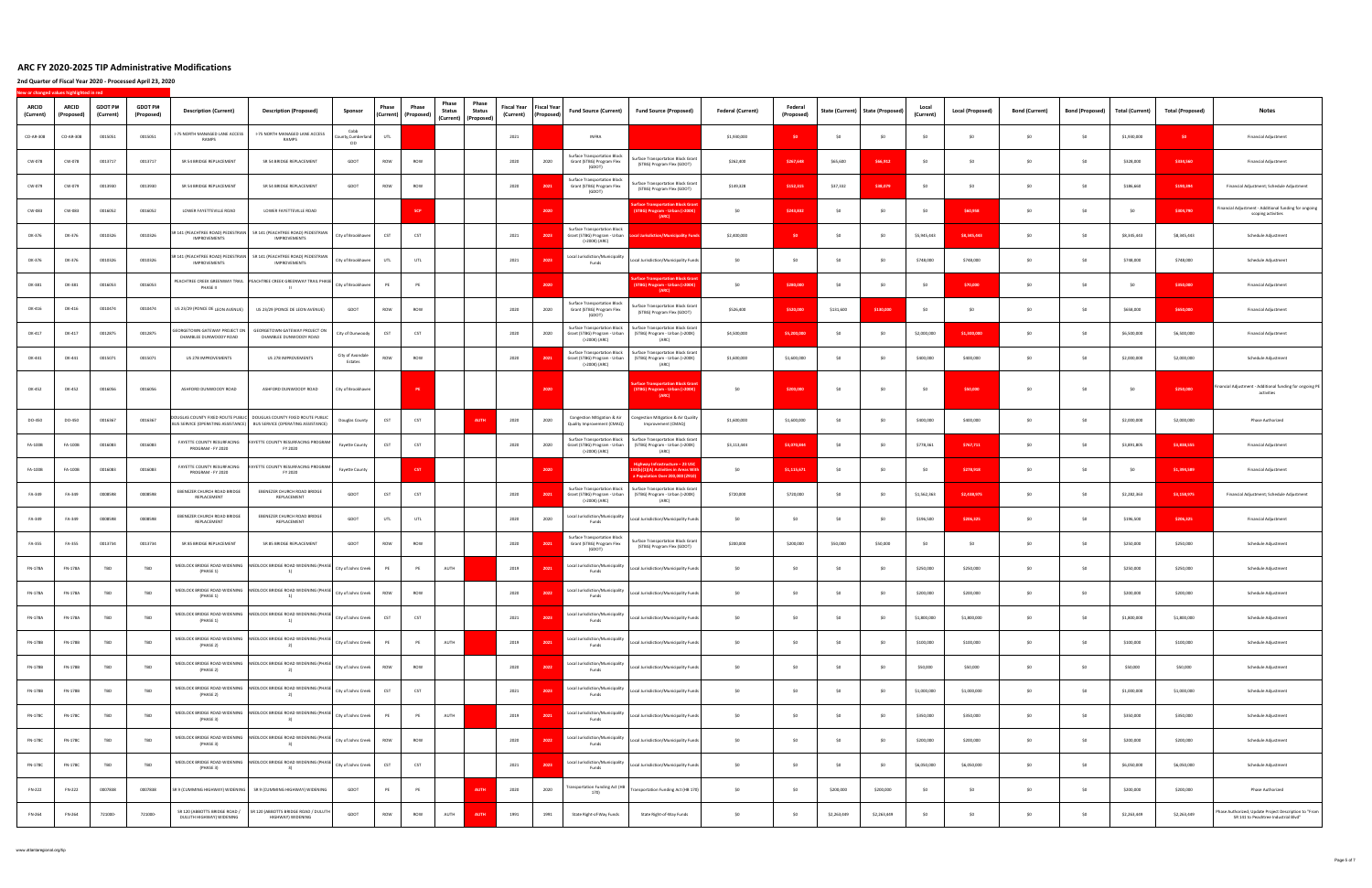| ARCID<br>(Current) | <b>ARCID</b><br>(Proposed) | <b>GDOT PI#</b><br>(Current) | <b>GDOT PI#</b><br>(Proposed) | <b>Description (Current)</b>                              | <b>Description (Proposed)</b>                                                                                                                | Sponsor                               | Phase      | Phase<br>(Current) (Proposed) | Phase<br><b>Status</b> | Phase<br><b>Fiscal Year</b><br><b>Status</b><br>(Current)<br>(Current) (Proposed) | <b>Fiscal Year</b><br>(Proposed) | <b>Fund Source (Current)</b>                                                         | <b>Fund Source (Proposed)</b>                                                                                                           | <b>Federal (Current)</b> | Federal<br>(Proposed) | State (Current) | <b>State (Proposed)</b> | Local<br>(Current) | <b>Local (Proposed)</b> | <b>Bond (Current)</b> | <b>Bond (Proposed)</b> | <b>Total (Current)</b> | <b>Total (Proposed)</b> | <b>Notes</b>                                                                                  |
|--------------------|----------------------------|------------------------------|-------------------------------|-----------------------------------------------------------|----------------------------------------------------------------------------------------------------------------------------------------------|---------------------------------------|------------|-------------------------------|------------------------|-----------------------------------------------------------------------------------|----------------------------------|--------------------------------------------------------------------------------------|-----------------------------------------------------------------------------------------------------------------------------------------|--------------------------|-----------------------|-----------------|-------------------------|--------------------|-------------------------|-----------------------|------------------------|------------------------|-------------------------|-----------------------------------------------------------------------------------------------|
| CO-AR-308          | CO-AR-308                  | 0015051                      | 0015051                       | -75 NORTH MANAGED LANE ACCESS<br>RAMPS                    | I-75 NORTH MANAGED LANE ACCESS<br>RAMPS                                                                                                      | Cobb<br>unty,Cumberland<br><b>CID</b> | UTL        |                               |                        | 2021                                                                              |                                  | <b>INFRA</b>                                                                         |                                                                                                                                         | \$1,930,000              | S <sub>0</sub>        | \$0             | SO                      | \$0                | \$0                     | \$0                   | \$0                    | \$1,930,000            | SO <sub>2</sub>         | <b>Financial Adjustment</b>                                                                   |
| CW-078             | CW-078                     | 0013717                      | 0013717                       | SR 54 BRIDGE REPLACEMENT                                  | SR 54 BRIDGE REPLACEMENT                                                                                                                     | GDOT                                  | ROW        | ROW                           |                        | 2020                                                                              | 2020                             | <b>Surface Transportation Block</b><br>Grant (STBG) Program Flex<br>(GDOT)           | Surface Transportation Block Gran<br>(STBG) Program Flex (GDOT)                                                                         | \$262,400                | \$267,648             | \$65,600        | \$66,912                | SO                 | SO.                     | \$0                   | \$0                    | \$328,000              | \$334,560               | <b>Financial Adjustment</b>                                                                   |
| CW-079             | CW-079                     | 0013930                      | 0013930                       | SR 54 BRIDGE REPLACEMENT                                  | SR 54 BRIDGE REPLACEMENT                                                                                                                     | GDOT                                  | ROW        | ROW                           |                        | 2020                                                                              | 2021                             | <b>Surface Transportation Block</b><br>Grant (STBG) Program Flex<br>(GDOT)           | <b>Surface Transportation Block Grant</b><br>(STBG) Program Flex (GDOT)                                                                 | \$149,328                | \$152,315             | \$37,332        | \$38,079                | SO                 | \$0                     | \$0                   | \$0                    | \$186,660              | \$190,394               | Financial Adjustment; Schedule Adjustment                                                     |
| CW-083             | CW-083                     | 0016052                      | 0016052                       | LOWER FAYETTEVILLE ROAD                                   | LOWER FAYETTEVILLE ROAD                                                                                                                      |                                       |            | <b>SCP</b>                    |                        |                                                                                   | 2020                             |                                                                                      | ace Transportation Block G<br>STBG) Program - Urban (>200K)<br>(ARC)                                                                    | \$0                      | \$243,832             | \$0             | SO                      | \$0                | \$60,958                | \$0                   | \$0                    | \$0                    | \$304,790               | Financial Adjustment - Additional funding for ongoing<br>scoping activities                   |
| DK-376             | DK-376                     | 0010326                      | 0010326                       | <b>IMPROVEMENTS</b>                                       | SR 141 (PEACHTREE ROAD) PEDESTRIAN SR 141 (PEACHTREE ROAD) PEDESTRIAN<br>IMPROVEMENTS                                                        | City of Brookhaven                    | CST        | CST                           |                        | 2021                                                                              | 2023                             | <b>Surface Transportation Block</b><br>Grant (STBG) Program - Urban<br>(>200K) (ARC) | cal Jurisdiction/Municipality Fund                                                                                                      | \$2,400,000              | S <sub>0</sub>        | \$0             | S <sub>0</sub>          | \$5,945,443        | \$8,345,443             | \$0                   | \$0                    | \$8,345,443            | \$8,345,443             | Schedule Adjustment                                                                           |
| DK-376             | DK-376                     | 0010326                      | 0010326                       | IMPROVEMENTS                                              | SR 141 (PEACHTREE ROAD) PEDESTRIAN SR 141 (PEACHTREE ROAD) PEDESTRIAN<br><b>IMPROVEMENTS</b>                                                 | City of Brookhaven                    | UTL        | UTL                           |                        | 2021                                                                              | 2023                             | Local Jurisdiction/Municipality<br>Funds                                             | Local Jurisdiction/Municipality Funds                                                                                                   | \$0                      | \$0                   | \$0             | SO                      | \$748,000          | \$748,000               | \$0                   | \$0                    | \$748,000              | \$748,000               | Schedule Adjustment                                                                           |
| DK-381             | DK-381                     | 0016053                      | 0016053                       | PHASE II                                                  | PEACHTREE CREEK GREENWAY TRAIL PEACHTREE CREEK GREENWAY TRAIL PHASE<br><b>Service</b>                                                        | City of Brookhaven                    | PE         | PE                            |                        |                                                                                   | 2020                             |                                                                                      | rface Transportation Block Grar<br>(STBG) Program - Urban (>200K<br>(ARC)                                                               | \$0                      | \$280,000             | \$0             | S <sub>0</sub>          | SO                 | \$70,000                | \$0                   | \$0                    | \$0                    | \$350,000               | <b>Financial Adjustment</b>                                                                   |
| DK-416             | DK-416                     | 0010474                      | 0010474                       | US 23/29 (PONCE DE LEON AVENUE)                           | US 23/29 (PONCE DE LEON AVENUE)                                                                                                              | GDOT                                  | ROW        | ROW                           |                        | 2020                                                                              | 2020                             | <b>Surface Transportation Block</b><br>Grant (STBG) Program Flex<br>(GDOT)           | Surface Transportation Block Gran<br>(STBG) Program Flex (GDOT)                                                                         | \$526,400                | \$520,000             | \$131,600       | \$130,000               | \$0                | \$0                     | \$0                   | \$0                    | \$658,000              | \$650,000               | <b>Financial Adjustment</b>                                                                   |
| DK-417             | DK-417                     | 0012875                      | 0012875                       | EORGETOWN GATEWAY PROJECT ON<br>CHAMBLEE DUNWOODY ROAD    | GEORGETOWN GATEWAY PROJECT ON<br>CHAMBLEE DUNWOODY ROAD                                                                                      | City of Dunwoody                      | CST        | CST                           |                        | 2020                                                                              | 2020                             | <b>Surface Transportation Block</b><br>Grant (STBG) Program - Urban<br>(>200K) (ARC) | Surface Transportation Block Grant<br>(STBG) Program - Urban (>200K)<br>(ARC)                                                           | \$4,500,000              | \$5,200,000           | \$0             | S <sub>0</sub>          | \$2,000,000        | \$1,300,000             | \$0                   | SO                     | \$6,500,000            | \$6,500,000             | Financial Adjustment                                                                          |
| DK-441             | DK-441                     | 0015071                      | 0015071                       | US 278 IMPROVEMENTS                                       | US 278 IMPROVEMENTS                                                                                                                          | City of Avondale<br>Estates           | ROW        | ROW                           |                        | 2020                                                                              | 2021                             | <b>Surface Transportation Block</b><br>Grant (STBG) Program - Urban<br>(>200K) (ARC) | Surface Transportation Block Gran<br>(STBG) Program - Urban (>200K)<br>(ARC)                                                            | \$1,600,000              | \$1,600,000           | \$0             | S <sub>0</sub>          | \$400,000          | \$400,000               | \$0                   | \$0                    | \$2,000,000            | \$2,000,000             | Schedule Adjustment                                                                           |
| DK-452             | DK-452                     | 0016056                      | 0016056                       | ASHFORD DUNWOODY ROAD                                     | ASHFORD DUNWOODY ROAD                                                                                                                        | City of Brookhaven                    |            | PE                            |                        |                                                                                   | 2020                             |                                                                                      | rface Transportation Block Gra<br>(STBG) Program - Urban (>200k<br>(ARC)                                                                | \$0                      | \$200,000             | \$0             | S0                      | \$0                | \$50,000                | \$0                   | \$0                    | \$0                    | \$250,000               | Financial Adjustment - Additional funding for ongoing PE<br>activities                        |
| DO-450             | DO-450                     | 0016367                      | 0016367                       |                                                           | DOUGLAS COUNTY FIXED ROUTE PUBLIC DOUGLAS COUNTY FIXED ROUTE PUBLIC<br>BUS SERVICE (OPERATING ASSISTANCE) BUS SERVICE (OPERATING ASSISTANCE) | Douglas County                        | CST        | CST                           |                        | 2020<br><b>AUTH</b>                                                               | 2020                             | Congestion Mitigation & Air<br>Quality Improvement (CMAQ)                            | Congestion Mitigation & Air Quality<br>Improvement (CMAQ)                                                                               | \$1,600,000              | \$1,600,000           | S <sub>0</sub>  | S <sub>0</sub>          | \$400,000          | \$400,000               | \$0                   | SO                     | \$2,000,000            | \$2,000,000             | <b>Phase Authorized</b>                                                                       |
| FA-100B            | FA-100B                    | 0016083                      | 0016083                       | FAYETTE COUNTY RESURFACING<br>PROGRAM - FY 2020           | AYETTE COUNTY RESURFACING PROGRAM<br>FY 2020                                                                                                 | <b>Fayette County</b>                 | CST        | CST                           |                        | 2020                                                                              | 2020                             | Surface Transportation Block<br>Grant (STBG) Program - Urban<br>(>200K) (ARC)        | Surface Transportation Block Gran<br>(STBG) Program - Urban (>200K)<br>(ARC)                                                            | \$3,113,444              | \$3,070,844           | \$0             | S <sub>0</sub>          | \$778,361          | \$767,711               | \$0                   | \$0                    | \$3,891,805            | \$3,838,555             | <b>Financial Adjustment</b>                                                                   |
| FA-100B            | FA-100B                    | 0016083                      | 0016083                       | FAYETTE COUNTY RESURFACING<br>PROGRAM - FY 2020           | AYETTE COUNTY RESURFACING PROGRAM<br>FY 2020                                                                                                 | Fayette County                        |            | <b>CST</b>                    |                        |                                                                                   | 2020                             |                                                                                      | Highway Infrastructure - 23 U!<br>33(b)(1)(A) Activities in Areas Wit<br>Opulation Over 200,000 (291                                    | \$0                      | \$1,115,671           | \$0             | SO                      | \$0                | \$278,918               | \$0                   | SO                     | \$0                    | \$1,394,589             | <b>Financial Adjustment</b>                                                                   |
| FA-349             | FA-349                     | 0008598                      | 0008598                       | EBENEZER CHURCH ROAD BRIDGE<br>REPLACEMENT                | EBENEZER CHURCH ROAD BRIDGE<br>REPLACEMENT                                                                                                   | GDOT                                  | CST        | CST                           |                        | 2020                                                                              | 2021                             | (>200K) (ARC)                                                                        | Surface Transportation Block Surface Transportation Block Grant<br>Grant (STBG) Program - Urban (STBG) Program - Urban (>200K)<br>(ARC) | \$720,000                | \$720,000             | S <sub>0</sub>  | - SO                    | \$1,562,363        | \$2,438.975             | \$0                   | SO.                    | \$2,282,363            | \$3,158,975             | Financial Adjustment; Schedule Adjustment                                                     |
| FA-349             | FA-349                     | 0008598                      | 0008598                       | EBENEZER CHURCH ROAD BRIDGE<br>REPLACEMENT                | EBENEZER CHURCH ROAD BRIDGE<br>REPLACEMENT                                                                                                   | GDOT                                  | UTL        | UTL                           |                        | 2020                                                                              | 2020                             | Local Jurisdiction/Municipality<br>Funds                                             | Local Jurisdiction/Municipality Funds                                                                                                   | \$0                      | \$0                   | \$0             | SO                      | \$196,500          | \$206,325               | \$0                   | \$0                    | \$196,500              | \$206,325               | <b>Financial Adjustment</b>                                                                   |
| FA-355             | FA-355                     | 0013734                      | 0013734                       | SR 85 BRIDGE REPLACEMENT                                  | SR 85 BRIDGE REPLACEMENT                                                                                                                     | GDOT                                  | ROW        | ROW                           |                        | 2020                                                                              | 2021                             | <b>Surface Transportation Block</b><br>Grant (STBG) Program Flex<br>(GDOT)           | <b>Surface Transportation Block Grant</b><br>(STBG) Program Flex (GDOT)                                                                 | \$200,000                | \$200,000             | \$50,000        | \$50,000                | \$0                | \$0                     | \$0                   | \$O                    | \$250,000              | \$250,000               | Schedule Adjustment                                                                           |
| FN-178A            | FN-178A                    | TBD                          | TBD                           | (PHASE 1)                                                 | MEDLOCK BRIDGE ROAD WIDENING MEDLOCK BRIDGE ROAD WIDENING (PHASE                                                                             | City of Johns Creek                   | PE         | PE                            | AUTH                   | 2019                                                                              | 2021                             | Local Jurisdiction/Municipality<br>Funds                                             | Local Jurisdiction/Municipality Funds                                                                                                   | \$0                      | S <sub>0</sub>        | \$0             | S <sub>0</sub>          | \$250,000          | \$250,000               | \$0                   | \$0                    | \$250,000              | \$250,000               | Schedule Adjustment                                                                           |
| FN-178A            | FN-178A                    | <b>TBD</b>                   | TBD                           | (PHASE 1)                                                 | MEDLOCK BRIDGE ROAD WIDENING MEDLOCK BRIDGE ROAD WIDENING (PHASE                                                                             | City of Johns Creek ROW               |            | ROW                           |                        | 2020                                                                              |                                  | Local Jurisdiction/Municipality<br>Funds                                             | Local Jurisdiction/Municipality Funds                                                                                                   | \$0                      | \$0                   | \$0             | \$0                     | \$200,000          | \$200,000               | 50                    | \$0                    | \$200,000              | \$200,000               | Schedule Adjustment                                                                           |
| FN-178A            | FN-178A                    | TBD                          | TBD                           | (PHASE 1)                                                 | MEDLOCK BRIDGE ROAD WIDENING MEDLOCK BRIDGE ROAD WIDENING (PHASE City of Johns Creek<br>1)                                                   |                                       | CST        | CST                           |                        | 2021                                                                              | 2023                             | Local Jurisdiction/Municipality<br>Funds                                             | Local Jurisdiction/Municipality Funds                                                                                                   | \$0                      | \$0                   | \$0             | \$0                     | \$1,800,000        | \$1,800,000             | \$0                   | \$0                    | \$1,800,000            | \$1,800,000             | Schedule Adjustment                                                                           |
| FN-178B            | FN-178B                    | TBD                          | TBD                           | (PHASE 2)                                                 | MEDLOCK BRIDGE ROAD WIDENING MEDLOCK BRIDGE ROAD WIDENING (PHASE<br>2)                                                                       | City of Johns Creek                   | PE         | PE                            | AUTH                   | 2019                                                                              | 2021                             | Local Jurisdiction/Municipality<br>Funds                                             | Local Jurisdiction/Municipality Funds                                                                                                   | \$0                      | \$0                   | \$0             | \$0                     | \$100,000          | \$100,000               | \$0                   | \$0                    | \$100,000              | \$100,000               | Schedule Adjustment                                                                           |
| FN-178B            | FN-178B                    | TBD                          | TBD                           | (PHASE 2)                                                 | MEDLOCK BRIDGE ROAD WIDENING MEDLOCK BRIDGE ROAD WIDENING (PHASE   City of Johns Creek<br>2)                                                 |                                       | ROW        | ROW                           |                        | 2020                                                                              | 2022                             | Local Jurisdiction/Municipality<br>Funds                                             | Local Jurisdiction/Municipality Funds                                                                                                   | \$0                      | \$0                   | \$0             | \$0                     | \$50,000           | \$50,000                | \$0                   | \$0                    | \$50,000               | \$50,000                | Schedule Adjustment                                                                           |
| FN-178B            | FN-178B                    | TBD                          | TBD                           | MEDLOCK BRIDGE ROAD WIDENING<br>(PHASE 2)                 | MEDLOCK BRIDGE ROAD WIDENING (PHASE City of Johns Creek<br>$\left( \frac{1}{2} \right)$                                                      |                                       | CST        | CST                           |                        | 2021                                                                              | 2023                             | Local Jurisdiction/Municipality<br>Funds                                             | Local Jurisdiction/Municipality Funds                                                                                                   | \$0                      | \$0                   | \$0             | SO                      | \$1,000,000        | \$1,000,000             | \$0                   | \$0                    | \$1,000,000            | \$1,000,000             | Schedule Adjustment                                                                           |
| FN-178C            | FN-178C                    | TBD                          | TBD                           | (PHASE 3)                                                 | MEDLOCK BRIDGE ROAD WIDENING MEDLOCK BRIDGE ROAD WIDENING (PHASE<br>3)                                                                       | City of Johns Creek                   | PE         | PE                            | AUTH                   | 2019                                                                              | 2021                             | Local Jurisdiction/Municipality<br>Funds                                             | Local Jurisdiction/Municipality Funds                                                                                                   | \$0                      | \$0                   | \$0             | \$0                     | \$350,000          | \$350,000               | \$0                   | \$0                    | \$350,000              | \$350,000               | Schedule Adjustment                                                                           |
| <b>FN-178C</b>     | <b>FN-178C</b>             | TBD                          | TBD                           | (PHASE 3)                                                 | MEDLOCK BRIDGE ROAD WIDENING MEDLOCK BRIDGE ROAD WIDENING (PHASE<br>3)                                                                       | City of Johns Creek                   | <b>ROW</b> | ROW                           |                        | 2020                                                                              | 2022                             | Local Jurisdiction/Municipality<br>Funds                                             | Local Jurisdiction/Municipality Funds                                                                                                   | \$0                      | \$0                   | \$0             | \$0                     | \$200,000          | \$200,000               | \$0                   | \$0                    | \$200,000              | \$200,000               | Schedule Adjustment                                                                           |
| <b>FN-178C</b>     | FN-178C                    | TBD                          | TBD                           | MEDLOCK BRIDGE ROAD WIDENING<br>(PHASE 3)                 | MEDLOCK BRIDGE ROAD WIDENING (PHASE<br>3)                                                                                                    | City of Johns Creek                   | CST        | CST                           |                        | 2021                                                                              | 2023                             | Local Jurisdiction/Municipality<br>Funds                                             | Local Jurisdiction/Municipality Funds                                                                                                   | \$0                      | \$0                   | \$0             | SO                      | \$6,050,000        | \$6,050,000             | \$0                   | \$0                    | \$6,050,000            | \$6,050,000             | Schedule Adjustment                                                                           |
| FN-222             | FN-222                     | 0007838                      | 0007838                       |                                                           | SR 9 (CUMMING HIGHWAY) WIDENING SR 9 (CUMMING HIGHWAY) WIDENING                                                                              | GDOT                                  | PE         | PE                            |                        | 2020<br><b>AUTH</b>                                                               | 2020                             | ransportation Funding Act (HB<br>170)                                                | Transportation Funding Act (HB 170)                                                                                                     | \$0                      | \$0                   | \$200,000       | \$200,000               | SO                 | \$0                     | \$0                   | \$0                    | \$200,000              | \$200,000               | <b>Phase Authorized</b>                                                                       |
| FN-264             | FN-264                     | 721000-                      | 721000-                       | SR 120 (ABBOTTS BRIDGE ROAD /<br>DULUTH HIGHWAY) WIDENING | SR 120 (ABBOTTS BRIDGE ROAD / DULUTH<br>HIGHWAY) WIDENING                                                                                    | GDOT                                  | ROW        | ROW                           | AUTH                   | 1991<br><b>AUTH</b>                                                               | 1991                             | State Right-of-Way Funds                                                             | State Right-of-Way Funds                                                                                                                | \$0                      | \$0                   | \$2,263,449     | \$2,263,449             | \$0                | \$0                     | \$0                   | \$0                    | \$2,263,449            | \$2,263,449             | Phase Authorized; Update Project Description to "From<br>SR 141 to Peachtree Industrial Blvd" |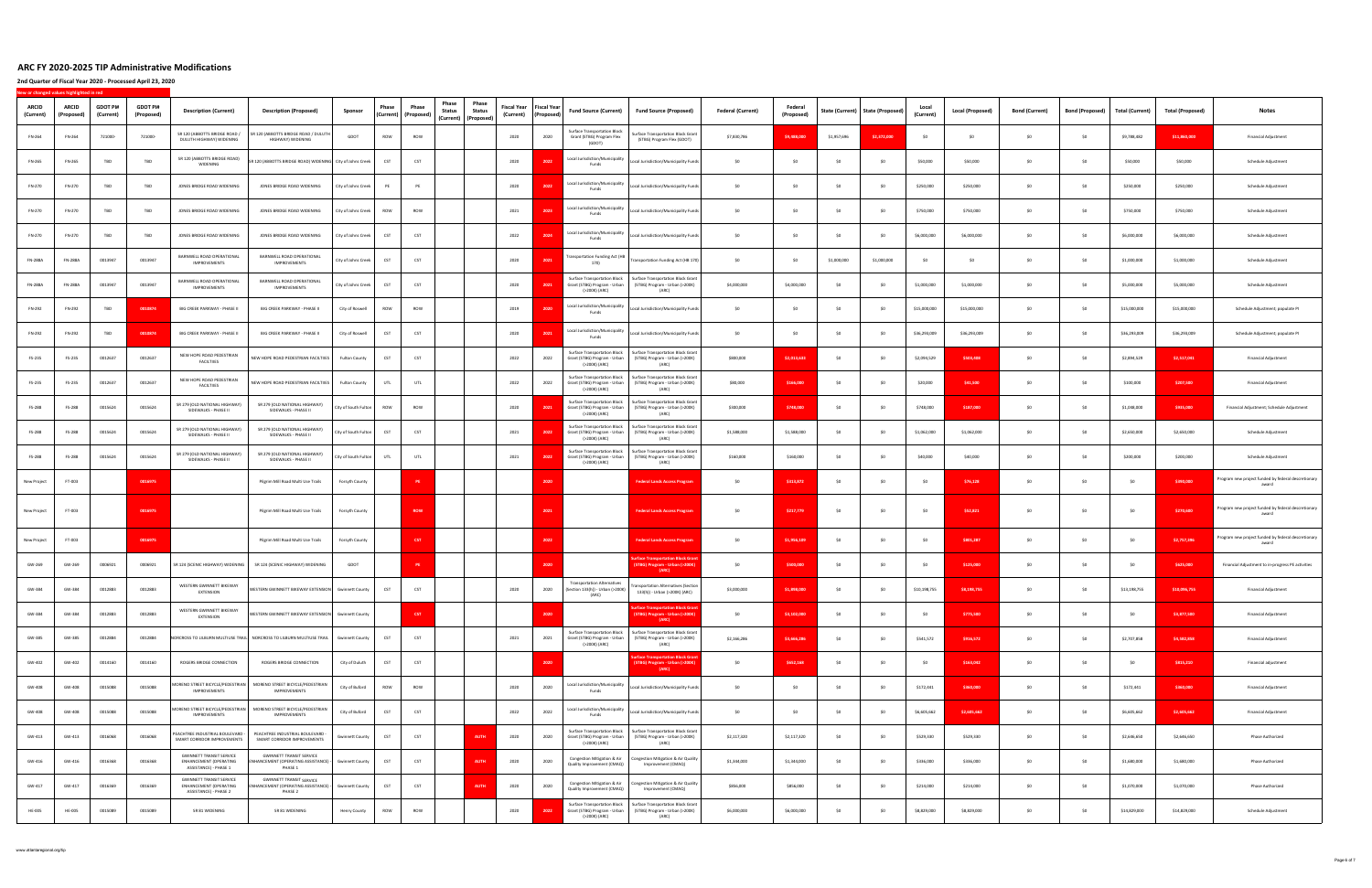| <b>ARCID</b><br>(Current) | ARCID<br>(Proposed | <b>GDOT PI#</b><br>(Current) | <b>GDOT PI#</b><br>(Proposed) | <b>Description (Current)</b><br><b>Description (Proposed)</b>                                                                                                                  | Sponsor                | Phase      | Phase<br>Phase<br>Phase<br><b>Status</b><br><b>Status</b><br>(Current) (Proposed)<br>(Current) (Proposed) | <b>Fiscal Year</b><br>(Current) | <b>Fiscal Year</b><br>(Proposed) | <b>Fund Source (Current)</b>                                                         | <b>Fund Source (Proposed)</b>                                                        | <b>Federal (Current)</b> | Federal<br>(Proposed) | State (Current) | <b>State (Proposed)</b> | Local<br>(Current) | Local (Proposed) | <b>Bond (Current)</b> | <b>Bond (Proposed)</b> | <b>Total (Current)</b> | <b>Total (Proposed)</b> | <b>Notes</b>                                                 |
|---------------------------|--------------------|------------------------------|-------------------------------|--------------------------------------------------------------------------------------------------------------------------------------------------------------------------------|------------------------|------------|-----------------------------------------------------------------------------------------------------------|---------------------------------|----------------------------------|--------------------------------------------------------------------------------------|--------------------------------------------------------------------------------------|--------------------------|-----------------------|-----------------|-------------------------|--------------------|------------------|-----------------------|------------------------|------------------------|-------------------------|--------------------------------------------------------------|
| FN-264                    | FN-264             | 721000-                      | 721000-                       | SR 120 (ABBOTTS BRIDGE ROAD /<br>SR 120 (ABBOTTS BRIDGE ROAD / DULUTH<br>DULUTH HIGHWAY) WIDENING<br>HIGHWAY) WIDENING                                                         | GDOT                   | ROW        | ROW                                                                                                       | 2020                            | 2020                             | <b>Surface Transportation Block</b><br>Grant (STBG) Program Flex<br>(GDOT)           | Surface Transportation Block Grant<br>(STBG) Program Flex (GDOT)                     | \$7,830,786              | \$9,488,000           | \$1,957,696     | \$2,372,000             | SO                 | \$0              | \$0                   | \$0                    | \$9,788,482            | \$11,860,000            | <b>Financial Adjustment</b>                                  |
| FN-265                    | FN-265             | TBD                          | TBD                           | SR 120 (ABBOTTS BRIDGE ROAD)<br>SR 120 (ABBOTTS BRIDGE ROAD) WIDENING City of Johns Creek<br>WIDENING                                                                          |                        | CST        | CST                                                                                                       | 2020                            |                                  | Local Jurisdiction/Municipality<br>Funds                                             | Local Jurisdiction/Municipality Funds                                                | SO <sub>1</sub>          | \$0                   | SO              |                         | \$50,000           | \$50,000         |                       | \$0                    | \$50,000               | \$50,000                | Schedule Adjustment                                          |
| FN-270                    | FN-270             | TBD                          | TBD                           | JONES BRIDGE ROAD WIDENING<br>JONES BRIDGE ROAD WIDENING                                                                                                                       | City of Johns Creek    | PE         | PE                                                                                                        | 2020                            | 2022                             | Local Jurisdiction/Municipality<br>Funds                                             | Local Jurisdiction/Municipality Funds                                                | \$0                      | \$0                   | \$0             | S0                      | \$250,000          | \$250,000        | SO.                   | \$0                    | \$250,000              | \$250,000               | Schedule Adjustment                                          |
| FN-270                    | FN-270             | TBD                          | TBD                           | JONES BRIDGE ROAD WIDENING<br>JONES BRIDGE ROAD WIDENING                                                                                                                       | City of Johns Creek    | ROW        | ROW                                                                                                       | 2021                            | 2023                             | Local Jurisdiction/Municipality<br>Funds                                             | Local Jurisdiction/Municipality Funds                                                | \$O                      | \$0                   | SO.             | S0                      | \$750,000          | \$750,000        | \$O                   | \$0                    | \$750,000              | \$750,000               | Schedule Adjustment                                          |
| FN-270                    | FN-270             | TBD                          | TBD                           | JONES BRIDGE ROAD WIDENING<br>JONES BRIDGE ROAD WIDENING                                                                                                                       | City of Johns Creek    | CST        | CST                                                                                                       | 2022                            | 2024                             | Local Jurisdiction/Municipality<br>Funds                                             | Local Jurisdiction/Municipality Funds                                                | \$0                      | S <sub>0</sub>        | \$0             | S <sub>0</sub>          | \$6,000,000        | \$6,000,000      | SO.                   | \$0                    | \$6,000,000            | \$6,000,000             | Schedule Adjustment                                          |
| <b>FN-288A</b>            | <b>FN-288A</b>     | 0013947                      | 0013947                       | BARNWELL ROAD OPERATIONAL<br>BARNWELL ROAD OPERATIONAL<br>IMPROVEMENTS<br>IMPROVEMENTS                                                                                         | City of Johns Creek    | CST        | CST                                                                                                       | 2020                            | 202                              | <b>Transportation Funding Act (HB</b><br>170)                                        | Transportation Funding Act (HB 170)                                                  | \$0                      | \$0                   | \$1,000,000     | \$1,000,000             | \$0                | \$0              | \$0                   | \$0                    | \$1,000,000            | \$1,000,000             | Schedule Adjustment                                          |
| <b>FN-288A</b>            | <b>FN-288A</b>     | 0013947                      | 0013947                       | BARNWELL ROAD OPERATIONAL<br>BARNWELL ROAD OPERATIONAL<br><b>IMPROVEMENTS</b><br>IMPROVEMENTS                                                                                  | City of Johns Creek    | CST        | CST                                                                                                       | 2020                            | 2021                             | <b>Surface Transportation Block</b><br>Grant (STBG) Program - Urban<br>(>200K) (ARC) | Surface Transportation Block Grant<br>(STBG) Program - Urban (>200K)<br>(ARC)        | \$4,000,000              | \$4,000,000           | SO              | -SO                     | \$1,000,000        | \$1,000,000      | \$0                   | S <sub>0</sub>         | \$5,000,000            | \$5,000,000             | Schedule Adjustment                                          |
| FN-292                    | FN-292             | TBD                          | 0010874                       | BIG CREEK PARKWAY - PHASE II<br>BIG CREEK PARKWAY - PHASE II                                                                                                                   | City of Roswell        | ROW        | ROW                                                                                                       | 2019                            | 2020                             | Local Jurisdiction/Municipality<br>Funds                                             | Local Jurisdiction/Municipality Funds                                                | SO <sub>1</sub>          | \$0                   | \$0             | S0                      | \$15,000,000       | \$15,000,000     | SO.                   | \$0                    | \$15,000,000           | \$15,000,000            | Schedule Adjustment; populate PI                             |
| FN-292                    | FN-292             | TBD                          | 0010874                       | BIG CREEK PARKWAY - PHASE II<br>BIG CREEK PARKWAY - PHASE II                                                                                                                   | City of Roswell        | <b>CST</b> | CST                                                                                                       | 2020                            | 2023                             | Local Jurisdiction/Municipality<br>Funds                                             | Local Jurisdiction/Municipality Funds                                                | - SO                     | SO.                   | SO.             | - SO                    | \$36,293,009       | \$36,293,009     | SO.                   | SO.                    | \$36,293,009           | \$36,293,009            | Schedule Adjustment; populate PI                             |
| FS-235                    | FS-235             | 0012637                      | 0012637                       | NEW HOPE ROAD PEDESTRIAN<br>NEW HOPE ROAD PEDESTRIAN FACILTIIES<br><b>FACILTIIES</b>                                                                                           | <b>Fulton County</b>   | CST        | CST                                                                                                       | 2022                            | 2022                             | Surface Transportation Block<br>Grant (STBG) Program - Urban<br>(>200K) (ARC)        | <b>Surface Transportation Block Grant</b><br>(STBG) Program - Urban (>200K)<br>(ARC) | \$800,000                | \$2,013,633           | SO              | -SO                     | \$2,094,529        | \$503,408        | SO.                   | \$0                    | \$2,894,529            | \$2,517,041             | <b>Financial Adjustment</b>                                  |
| FS-235                    | FS-235             | 0012637                      | 0012637                       | NEW HOPE ROAD PEDESTRIAN<br>NEW HOPE ROAD PEDESTRIAN FACILTIIES<br><b>FACILTIIES</b>                                                                                           | <b>Fulton County</b>   | UTL        | UTL                                                                                                       | 2022                            | 2022                             | Surface Transportation Block<br>Grant (STBG) Program - Urban<br>(>200K) (ARC)        | Surface Transportation Block Grant<br>(STBG) Program - Urban (>200K)<br>(ARC)        | \$80,000                 | \$166,000             | \$0             | S <sub>0</sub>          | \$20,000           | \$41,500         | SO                    | \$0                    | \$100,000              | \$207,500               | <b>Financial Adjustment</b>                                  |
| FS-288                    | FS-288             | 0015624                      | 0015624                       | SR 279 (OLD NATIONAL HIGHWAY)<br>SR 279 (OLD NATIONAL HIGHWAY)<br>SIDEWALKS - PHASE II<br>SIDEWALKS - PHASE II                                                                 | City of South Fulton   | ROW        | ROW                                                                                                       | 2020                            | 2021                             | <b>Surface Transportation Block</b><br>Grant (STBG) Program - Urban<br>(>200K) (ARC) | <b>Surface Transportation Block Grant</b><br>(STBG) Program - Urban (>200K)<br>(ARC) | \$300,000                | \$748,000             | \$0             | S <sub>0</sub>          | \$748,000          | \$187,000        | SO.                   | \$0                    | \$1,048,000            | \$935,000               | Financial Adjustment; Schedule Adjustment                    |
| <b>FS-288</b>             | FS-288             | 0015624                      | 0015624                       | SR 279 (OLD NATIONAL HIGHWAY<br>SR 279 (OLD NATIONAL HIGHWAY)<br>SIDEWALKS - PHASE II<br>SIDEWALKS - PHASE II                                                                  | City of South Fulton   | CST        | CST                                                                                                       | 2021                            | 2022                             | Surface Transportation Block<br>Grant (STBG) Program - Urban<br>(>200K) (ARC)        | Surface Transportation Block Grant<br>(STBG) Program - Urban (>200K)<br>(ARC)        | \$1,588,000              | \$1,588,000           | \$0             | -SO                     | \$1,062,000        | \$1,062,000      | SO.                   | \$0                    | \$2,650,000            | \$2,650,000             | Schedule Adjustment                                          |
| FS-288                    | FS-288             | 0015624                      | 0015624                       | SR 279 (OLD NATIONAL HIGHWAY)<br>SR 279 (OLD NATIONAL HIGHWAY)<br>SIDEWALKS - PHASE II<br>SIDEWALKS - PHASE II                                                                 | City of South Fulton   | UTL        | UTL                                                                                                       | 2021                            | 2022                             | <b>Surface Transportation Block</b><br>Grant (STBG) Program - Urban<br>(>200K) (ARC) | Surface Transportation Block Grant<br>(STBG) Program - Urban (>200K)<br>(ARC)        | \$160,000                | \$160,000             | \$0             | S0                      | \$40,000           | \$40,000         | \$0                   | \$0                    | \$200,000              | \$200,000               | Schedule Adjustment                                          |
| New Project               | FT-003             |                              | 0016975                       | Pilgrim Mill Road Multi Use Trails                                                                                                                                             | Forsyth County         |            |                                                                                                           |                                 |                                  |                                                                                      | <b>Federal Lands Access Progra</b>                                                   | \$0                      | \$313,87              | SO.             | S0                      | SO                 | \$76,128         | SO.                   | \$0                    | -SO                    | \$390,000               | Program new project funded by federal descretionary<br>award |
| New Project               | FT-003             |                              | 0016975                       | Pilgrim Mill Road Multi Use Trails                                                                                                                                             | Forsyth County         |            | <b>ROW</b>                                                                                                |                                 | 2021                             |                                                                                      | <b>Federal Lands Access Progran</b>                                                  | SO                       | \$217,779             | \$0             | S <sub>0</sub>          | \$0                | \$52,821         | SO.                   | SO                     | \$0                    | \$270,600               | Program new project funded by federal descretionary<br>award |
| New Project               | FT-003             |                              | 0016975                       | Pilgrim Mill Road Multi Use Trails                                                                                                                                             | Forsyth County         |            | <b>CST</b>                                                                                                |                                 | 2022                             |                                                                                      | <b>Federal Lands Access Program</b>                                                  | \$0                      | \$1,956,109           | \$0             | SO                      | \$0                | \$801,287        | \$0                   | \$0                    | \$0                    | \$2,757,396             | Program new project funded by federal descretionary<br>award |
| GW-269                    | GW-269             | 0006921                      | 0006921                       | SR 124 (SCENIC HIGHWAY) WIDENING<br>SR 124 (SCENIC HIGHWAY) WIDENING                                                                                                           | GDOT                   |            | PE                                                                                                        |                                 | 2020                             |                                                                                      | ace Transportation Block G<br>STBG) Program - Urban (>20                             | SO                       | \$500,000             | \$0             | \$0                     | \$0                | \$125,000        | \$0                   | \$0                    | \$0                    | \$625,000               | Financial Adjustment to in-progress PE activities            |
| GW-384                    | GW-384             | 0012883                      | 0012883                       | WESTERN GWINNETT BIKEWAY<br>WESTERN GWINNETT BIKEWAY EXTENSION Gwinnett County<br>EXTENSION                                                                                    |                        | CST        | CST                                                                                                       | 2020                            | 2020                             | <b>Transportation Alternatives</b><br>(Section 133(h)) - Urban (>200K)<br>(ARC)      | Fransportation Alternatives (Section<br>133(h)) - Urban (>200K) (ARC)                | \$3,000,000              | \$1,898,000           | \$0             | S0                      | \$10,198,755       | \$8,198,755      | SO.                   | \$O                    | \$13,198,755           | \$10,096,755            | <b>Financial Adjustment</b>                                  |
| GW-384                    | GW-384             | 0012883                      | 0012883                       | WESTERN GWINNETT BIKEWAY<br>WESTERN GWINNETT BIKEWAY EXTENSION Gwinnett County<br><b>EXTENSION</b>                                                                             |                        |            | <b>CST</b>                                                                                                |                                 | 2020                             |                                                                                      | urface Transportation Block Gra<br>(STBG) Program - Urban (>200K)<br>(ARC)           | \$0                      | \$3,102,000           | \$0             | SO                      | \$0                | \$775,500        | \$0                   | 50                     | \$0                    | \$3,877,500             | <b>Financial Adjustment</b>                                  |
| GW-385                    | GW-385             | 0012884                      | 0012884                       | NORCROSS TO LILBURN MULTIUSE TRAIL NORCROSS TO LILBURN MULTIUSE TRAIL                                                                                                          | <b>Gwinnett County</b> | CST        | <b>CST</b>                                                                                                | 2021                            | 2021                             | Surface Transportation Block<br>Grant (STBG) Program - Urban<br>(>200K) (ARC)        | Surface Transportation Block Grant<br>(STBG) Program - Urban (>200K)<br>(ARC)        | \$2,166,286              | \$3,666,286           | \$0             | \$0                     | \$541,572          | \$916,572        | \$0                   | \$0                    | \$2,707,858            | \$4,582,858             | <b>Financial Adjustment</b>                                  |
| GW-402                    | GW-402             | 0014160                      | 0014160                       | ROGERS BRIDGE CONNECTION<br>ROGERS BRIDGE CONNECTION                                                                                                                           | City of Duluth         | CST        | <b>CST</b>                                                                                                |                                 | 2020                             |                                                                                      | <b>face Transportation Block Gra</b><br>(STBG) Program - Urban (>200K<br>(ARC)       | \$0                      | \$652,168             | \$0             | \$0                     | \$0                | \$163,042        | \$0                   | \$0                    | SO                     | \$815,210               | Financial adjustment                                         |
| GW-408                    | GW-408             | 0015088                      | 0015088                       | MORENO STREET BICYCLE/PEDESTRIAN MORENO STREET BICYCLE/PEDESTRIAN<br>IMPROVEMENTS<br>IMPROVEMENTS                                                                              | City of Buford         | ROW        | ROW                                                                                                       | 2020                            | 2020                             | Local Jurisdiction/Municipality<br>Funds                                             | Local Jurisdiction/Municipality Funds                                                | \$0                      | S <sub>0</sub>        | \$0             | SO                      | \$172,441          | \$360,000        | \$0                   | \$0                    | \$172,441              | \$360,000               | <b>Financial Adjustment</b>                                  |
| GW-408                    | GW-408             | 0015088                      | 0015088                       | MORENO STREET BICYCLE/PEDESTRIAN MORENO STREET BICYCLE/PEDESTRIAN<br><b>IMPROVEMENTS</b><br>IMPROVEMENTS                                                                       | City of Buford         | <b>CST</b> | <b>CST</b>                                                                                                | 2022                            | 2022                             | Local Jurisdiction/Municipality<br>Funds                                             | Local Jurisdiction/Municipality Funds                                                | \$0                      | SO                    | \$0             | \$0                     | \$6,605,662        | \$2,605,662      | \$0                   | \$0                    | \$6,605,662            | \$2,605,662             | <b>Financial Adjustment</b>                                  |
| GW-413                    | GW-413             | 0016068                      | 0016068                       | PEACHTREE INDUSTRIAL BOULEVARD -<br>PEACHTREE INDUSTRIAL BOULEVARD -<br>SMART CORRIDOR IMPROVEMENTS<br>SMART CORRIDOR IMPROVEMENTS                                             | <b>Gwinnett County</b> | CST        | CST<br><b>AUTH</b>                                                                                        | 2020                            | 2020                             | <b>Surface Transportation Block</b><br>Grant (STBG) Program - Urban<br>(>200K) (ARC) | Surface Transportation Block Grant<br>(STBG) Program - Urban (>200K)<br>(ARC)        | \$2,117,320              | \$2,117,320           | \$0             | S <sub>0</sub>          | \$529,330          | \$529,330        | \$0                   | \$0                    | \$2,646,650            | \$2,646,650             | Phase Authorized                                             |
| GW-416                    | GW-416             | 0016368                      | 0016368                       | <b>GWINNETT TRANSIT SERVICE</b><br><b>GWINNETT TRANSIT SERVICE</b><br><b>ENHANCEMENT (OPERATING</b><br>NHANCEMENT (OPERATING ASSISTANCE) -<br>ASSISTANCE) - PHASE 1<br>PHASE 1 | <b>Gwinnett County</b> | CST        | CST<br><b>AUTH</b>                                                                                        | 2020                            | 2020                             | Congestion Mitigation & Air<br>Quality Improvement (CMAQ)                            | <b>Congestion Mitigation &amp; Air Quality</b><br>Improvement (CMAQ)                 | \$1,344,000              | \$1,344,000           | \$0             | \$0                     | \$336,000          | \$336,000        | \$0                   | \$0                    | \$1,680,000            | \$1,680,000             | Phase Authorized                                             |
| GW-417                    | GW-417             | 0016369                      | 0016369                       | <b>GWINNETT TRANSIT SERVICE</b><br><b>GWINNETT TRANSIT SERVICE</b><br><b>ENHANCEMENT (OPERATING</b><br>HANCEMENT (OPERATING ASSISTANCE) -<br>ASSISTANCE) - PHASE 2<br>PHASE 2  | <b>Gwinnett County</b> | CST        | CST<br><b>AUTH</b>                                                                                        | 2020                            | 2020                             | Congestion Mitigation & Air<br>Quality Improvement (CMAQ)                            | Congestion Mitigation & Air Quality<br>Improvement (CMAQ)                            | \$856,000                | \$856,000             | \$0             | \$0                     | \$214,000          | \$214,000        | \$0                   | \$0                    | \$1,070,000            | \$1,070,000             | Phase Authorized                                             |
| <b>HE-005</b>             | HE-005             | 0015089                      | 0015089                       | SR 81 WIDENING<br>SR 81 WIDENING                                                                                                                                               | Henry County           | ROW        | ROW                                                                                                       | 2020                            | 2022                             | <b>Surface Transportation Block</b><br>Grant (STBG) Program - Urban<br>(>200K) (ARC) | <b>Surface Transportation Block Grant</b><br>(STBG) Program - Urban (>200K)<br>(ARC) | \$6,000,000              | \$6,000,000           | SO              | S <sub>0</sub>          | \$8,829,000        | \$8,829,000      | \$0                   | \$0                    | \$14,829,000           | \$14,829,000            | Schedule Adjustment                                          |